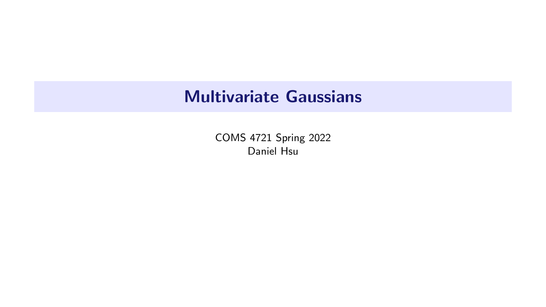# Multivariate Gaussians

COMS 4721 Spring 2022 Daniel Hsu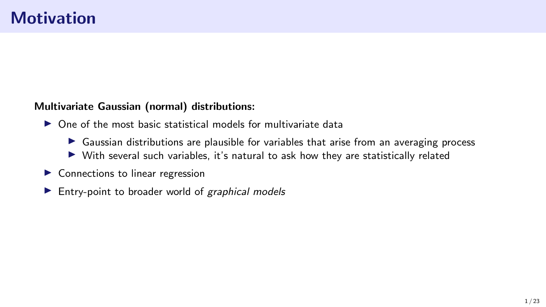#### Multivariate Gaussian (normal) distributions:

- $\triangleright$  One of the most basic statistical models for multivariate data
	- $\triangleright$  Gaussian distributions are plausible for variables that arise from an averaging process
	- $\triangleright$  With several such variables, it's natural to ask how they are statistically related
- $\blacktriangleright$  Connections to linear regression
- $\blacktriangleright$  Entry-point to broader world of graphical models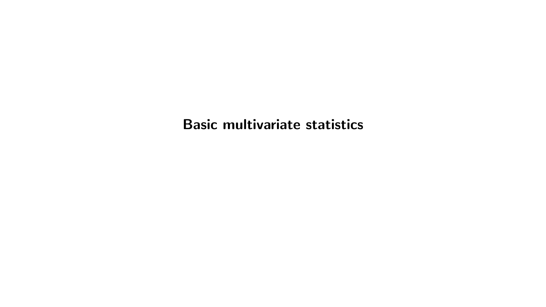Basic multivariate statistics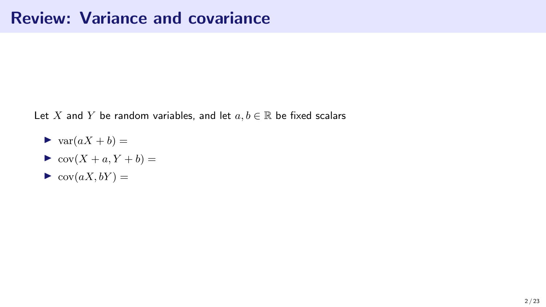### Review: Variance and covariance

Let X and Y be random variables, and let  $a, b \in \mathbb{R}$  be fixed scalars

- $\blacktriangleright$  var $(aX + b) =$
- $\blacktriangleright$  cov $(X + a, Y + b) =$
- $\blacktriangleright$  cov $(aX, bY) =$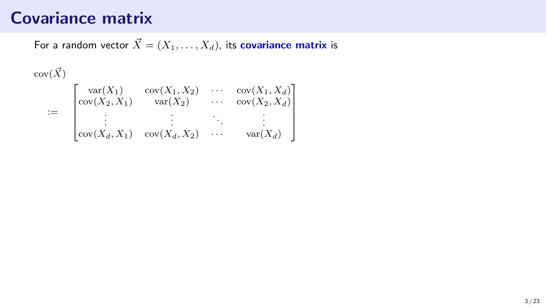For a random vector  $\vec{X} = (X_1, \ldots, X_d)$ , its covariance matrix is

 $cov(\vec{X})$ 

|      | $var(X_1)$<br>$\text{Cov}(X_2,X_1)$ | $cov(X_1, X_2)$<br>$var(X_2)$ | $\ldots$ .<br>$\cdots$ | $\left\lceil \frac{\text{cov}(X_1, X_d)}{\text{cov}(X_2, X_d)} \right\rceil$ |
|------|-------------------------------------|-------------------------------|------------------------|------------------------------------------------------------------------------|
| $:=$ | $\vert \text{cov}(X_d, X_1) \vert$  | $cov(X_d, X_2)$               | $\cdots$               | $var(X_d)$                                                                   |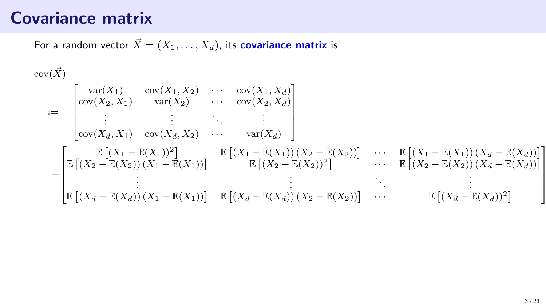For a random vector  $\vec{X} = (X_1, \ldots, X_d)$ , its covariance matrix is

$$
\begin{aligned}\n\text{cov}(\vec{X}) \\
&:= \begin{bmatrix}\n\text{var}(X_1) & \text{cov}(X_1, X_2) & \cdots & \text{cov}(X_1, X_d) \\
\text{cov}(X_2, X_1) & \text{var}(X_2) & \cdots & \text{cov}(X_2, X_d) \\
\vdots & \vdots & \ddots & \vdots \\
\text{cov}(X_d, X_1) & \text{cov}(X_d, X_2) & \cdots & \text{var}(X_d)\n\end{bmatrix} \\
&= \begin{bmatrix}\n\mathbb{E}\left[ (X_1 - \mathbb{E}(X_1))^2 \right] & \mathbb{E}\left[ (X_1 - \mathbb{E}(X_1)) (X_2 - \mathbb{E}(X_2)) \right] & \cdots & \mathbb{E}\left[ (X_1 - \mathbb{E}(X_1)) (X_d - \mathbb{E}(X_d)) \right] \\
\mathbb{E}\left[ (X_2 - \mathbb{E}(X_2)) (X_1 - \mathbb{E}(X_1)) \right] & \mathbb{E}\left[ (X_2 - \mathbb{E}(X_2))^2 \right] & \cdots & \mathbb{E}\left[ (X_2 - \mathbb{E}(X_2)) (X_d - \mathbb{E}(X_d)) \right] \\
\vdots & \vdots & \ddots & \vdots \\
\mathbb{E}\left[ (X_d - \mathbb{E}(X_d)) (X_1 - \mathbb{E}(X_1)) \right] & \mathbb{E}\left[ (X_d - \mathbb{E}(X_d)) (X_2 - \mathbb{E}(X_2)) \right] & \cdots & \mathbb{E}\left[ (X_d - \mathbb{E}(X_d))^2 \right]\n\end{bmatrix}\n\end{aligned}
$$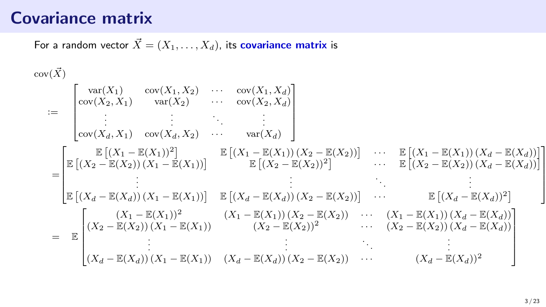For a random vector  $\vec{X} = (X_1, \ldots, X_d)$ , its covariance matrix is

$$
\begin{aligned}\n&\text{cov}(\vec{X}) \\
&:= \begin{bmatrix}\n\text{var}(X_1) & \text{cov}(X_1, X_2) & \cdots & \text{cov}(X_1, X_d) \\
\text{cov}(X_2, X_1) & \text{var}(X_2) & \cdots & \text{cov}(X_2, X_d) \\
\vdots & \vdots & \ddots & \vdots \\
\text{cov}(X_d, X_1) & \text{cov}(X_d, X_2) & \cdots & \text{var}(X_d)\n\end{bmatrix} \\
&= \begin{bmatrix}\n\mathbb{E}\left[(X_1 - \mathbb{E}(X_1))^2\right] & \mathbb{E}\left[(X_1 - \mathbb{E}(X_1))(X_2 - \mathbb{E}(X_2))\right] & \cdots & \mathbb{E}\left[(X_1 - \mathbb{E}(X_1))(X_d - \mathbb{E}(X_d))\right] \\
\vdots & \vdots & \ddots & \vdots \\
\mathbb{E}\left[(X_2 - \mathbb{E}(X_2))(X_1 - \mathbb{E}(X_1))\right] & \mathbb{E}\left[(X_d - \mathbb{E}(X_d))(X_2 - \mathbb{E}(X_2))\right] & \cdots & \mathbb{E}\left[(X_2 - \mathbb{E}(X_2))(X_d - \mathbb{E}(X_d))\right] \\
\vdots & \vdots & \ddots & \vdots \\
\mathbb{E}\left[(X_d - \mathbb{E}(X_d))(X_1 - \mathbb{E}(X_1))\right] & \mathbb{E}\left[(X_d - \mathbb{E}(X_1))(X_2 - \mathbb{E}(X_2))\right] & \cdots & \mathbb{E}\left[(X_d - \mathbb{E}(X_d))^2\right] \\
\begin{bmatrix}\n(X_1 - \mathbb{E}(X_1))^2 & (X_1 - \mathbb{E}(X_1))(X_2 - \mathbb{E}(X_2)) & \cdots & (X_1 - \mathbb{E}(X_1))(X_d - \mathbb{E}(X_d)) \\
\vdots & \vdots & \ddots & \vdots \\
(X_d - \mathbb{E}(X_d))(X_1 - \mathbb{E}(X_1)) & (X_d - \mathbb{E}(X_d))(X_2 - \mathbb{E}(X_2)) & \cdots & (X_d - \mathbb{E}(X_d))^2\n\end{bmatrix}\n\end{aligned}
$$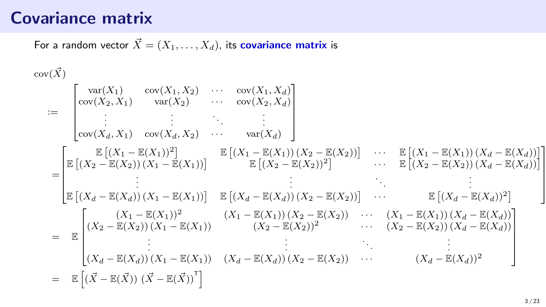For a random vector  $\vec{X} = (X_1, \ldots, X_d)$ , its covariance matrix is

$$
\begin{aligned}\n&\text{cov}(\vec{X}) \\
&:= \begin{bmatrix}\n\text{var}(X_1) & \text{cov}(X_1, X_2) & \cdots & \text{cov}(X_1, X_d) \\
\text{cov}(X_2, X_1) & \text{var}(X_2) & \cdots & \text{cov}(X_2, X_d) \\
\vdots & \vdots & \vdots \\
\text{cov}(X_d, X_1) & \text{cov}(X_d, X_2) & \cdots & \text{var}(X_d)\n\end{bmatrix} \\
&= \begin{bmatrix}\n\mathbb{E}\left[ (X_1 - \mathbb{E}(X_1))^2 \right] & \mathbb{E}\left[ (X_1 - \mathbb{E}(X_1)) (X_2 - \mathbb{E}(X_2)) \right] & \cdots & \mathbb{E}\left[ (X_1 - \mathbb{E}(X_1)) (X_d - \mathbb{E}(X_d)) \right] \\
\vdots & \vdots & \vdots \\
\mathbb{E}\left[ (X_2 - \mathbb{E}(X_2)) (X_1 - \mathbb{E}(X_1)) \right] & \mathbb{E}\left[ (X_2 - \mathbb{E}(X_2))^2 \right] & \cdots & \mathbb{E}\left[ (X_2 - \mathbb{E}(X_2)) (X_d - \mathbb{E}(X_d)) \right] \\
\vdots & \vdots & \vdots \\
\mathbb{E}\left[ (X_d - \mathbb{E}(X_d)) (X_1 - \mathbb{E}(X_1)) \right] & \mathbb{E}\left[ (X_d - \mathbb{E}(X_d)) (X_2 - \mathbb{E}(X_2)) \right] & \cdots & \mathbb{E}\left[ (X_d - \mathbb{E}(X_d))^2 \right] \\
\mathbb{E}\left[ (X_2 - \mathbb{E}(X_2)) (X_1 - \mathbb{E}(X_1)) & (X_2 - \mathbb{E}(X_2))^2 & \cdots & (X_1 - \mathbb{E}(X_1)) (X_d - \mathbb{E}(X_d)) \right] \\
\vdots & \vdots & \vdots \\
\mathbb{E}\left[ (X_d - \mathbb{E}(X_d)) (X_1 - \mathbb{E}(X_1)) & (X_d - \mathbb{E}(X_d)) (X_2 - \mathbb{E}(X_2)) & \cdots & (X_d - \mathbb{E}(X_d))^2 \right]\n\end{bmatrix} \\
&= \begin{bmatrix}\n\mathbb{E}\left[ (X_1 - \
$$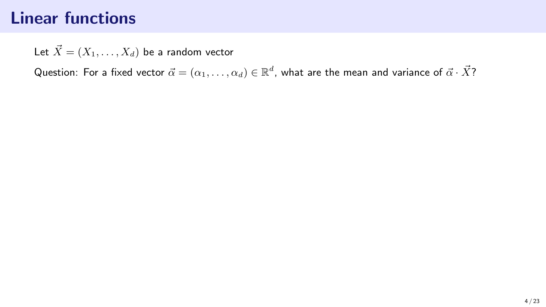Let  $\vec{X} = (X_1, \ldots, X_d)$  be a random vector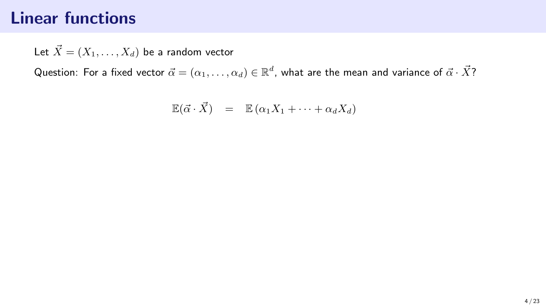Let  $\vec{X} = (X_1, \ldots, X_d)$  be a random vector

$$
\mathbb{E}(\vec{\alpha} \cdot \vec{X}) = \mathbb{E}(\alpha_1 X_1 + \dots + \alpha_d X_d)
$$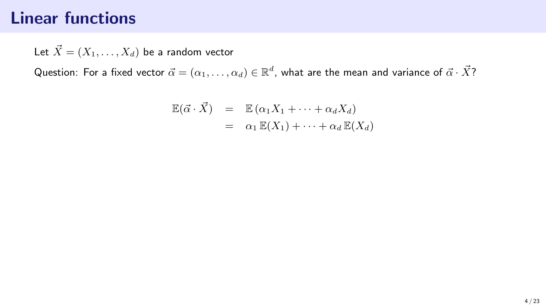Let  $\vec{X} = (X_1, \ldots, X_d)$  be a random vector

$$
\mathbb{E}(\vec{\alpha} \cdot \vec{X}) = \mathbb{E}(\alpha_1 X_1 + \dots + \alpha_d X_d)
$$
  
=  $\alpha_1 \mathbb{E}(X_1) + \dots + \alpha_d \mathbb{E}(X_d)$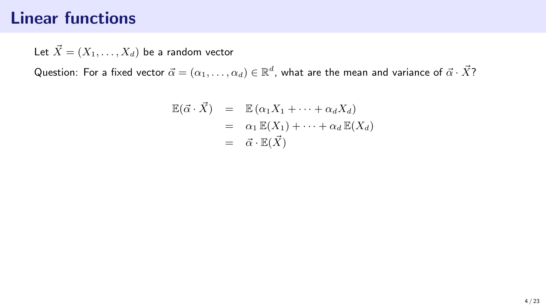Let  $\vec{X} = (X_1, \ldots, X_d)$  be a random vector

$$
\mathbb{E}(\vec{\alpha} \cdot \vec{X}) = \mathbb{E}(\alpha_1 X_1 + \dots + \alpha_d X_d)
$$
  
=  $\alpha_1 \mathbb{E}(X_1) + \dots + \alpha_d \mathbb{E}(X_d)$   
=  $\vec{\alpha} \cdot \mathbb{E}(\vec{X})$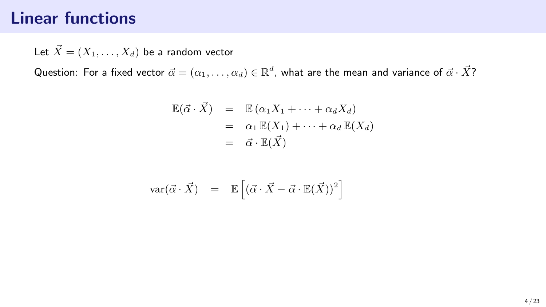Let  $\vec{X} = (X_1, \ldots, X_d)$  be a random vector

$$
\mathbb{E}(\vec{\alpha} \cdot \vec{X}) = \mathbb{E}(\alpha_1 X_1 + \dots + \alpha_d X_d)
$$
  
=  $\alpha_1 \mathbb{E}(X_1) + \dots + \alpha_d \mathbb{E}(X_d)$   
=  $\vec{\alpha} \cdot \mathbb{E}(\vec{X})$ 

$$
\text{var}(\vec{\alpha} \cdot \vec{X}) = \mathbb{E}\left[ (\vec{\alpha} \cdot \vec{X} - \vec{\alpha} \cdot \mathbb{E}(\vec{X}))^2 \right]
$$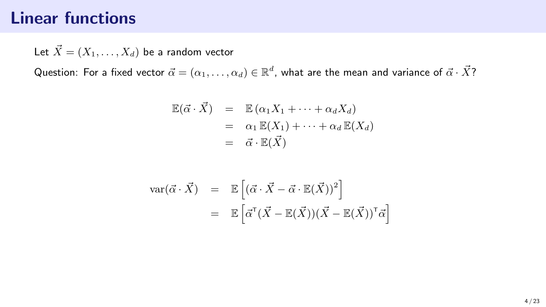Let  $\vec{X} = (X_1, \ldots, X_d)$  be a random vector

$$
\mathbb{E}(\vec{\alpha} \cdot \vec{X}) = \mathbb{E}(\alpha_1 X_1 + \dots + \alpha_d X_d)
$$
  
=  $\alpha_1 \mathbb{E}(X_1) + \dots + \alpha_d \mathbb{E}(X_d)$   
=  $\vec{\alpha} \cdot \mathbb{E}(\vec{X})$ 

$$
\begin{array}{rcl} \text{var}(\vec{\alpha} \cdot \vec{X}) & = & \mathbb{E}\left[ (\vec{\alpha} \cdot \vec{X} - \vec{\alpha} \cdot \mathbb{E}(\vec{X}))^2 \right] \\ & = & \mathbb{E}\left[ \vec{\alpha}^{\mathsf{T}} (\vec{X} - \mathbb{E}(\vec{X})) (\vec{X} - \mathbb{E}(\vec{X}))^{\mathsf{T}} \vec{\alpha} \right] \end{array}
$$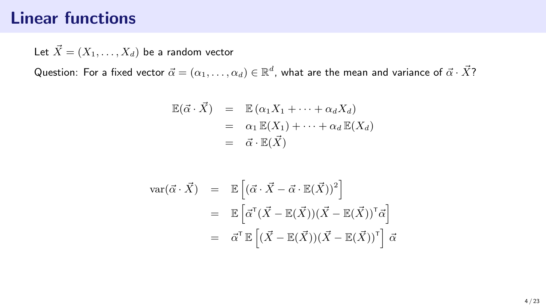Let  $\vec{X} = (X_1, \ldots, X_d)$  be a random vector

$$
\mathbb{E}(\vec{\alpha} \cdot \vec{X}) = \mathbb{E}(\alpha_1 X_1 + \dots + \alpha_d X_d)
$$
  
=  $\alpha_1 \mathbb{E}(X_1) + \dots + \alpha_d \mathbb{E}(X_d)$   
=  $\vec{\alpha} \cdot \mathbb{E}(\vec{X})$ 

$$
\begin{array}{rcl}\n\text{var}(\vec{\alpha} \cdot \vec{X}) & = & \mathbb{E}\left[ (\vec{\alpha} \cdot \vec{X} - \vec{\alpha} \cdot \mathbb{E}(\vec{X}))^2 \right] \\
& = & \mathbb{E}\left[ \vec{\alpha}^{\mathsf{T}} (\vec{X} - \mathbb{E}(\vec{X})) (\vec{X} - \mathbb{E}(\vec{X}))^{\mathsf{T}} \vec{\alpha} \right] \\
& = & \vec{\alpha}^{\mathsf{T}} \mathbb{E}\left[ (\vec{X} - \mathbb{E}(\vec{X})) (\vec{X} - \mathbb{E}(\vec{X}))^{\mathsf{T}} \right] \vec{\alpha}\n\end{array}
$$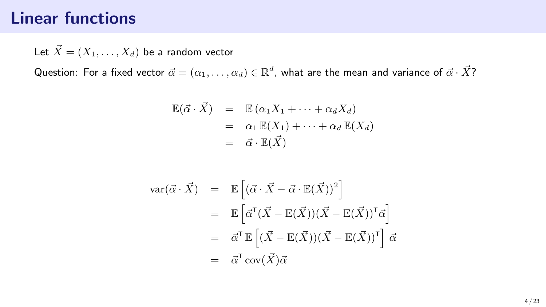Let  $\vec{X} = (X_1, \ldots, X_d)$  be a random vector

$$
\mathbb{E}(\vec{\alpha} \cdot \vec{X}) = \mathbb{E}(\alpha_1 X_1 + \dots + \alpha_d X_d)
$$
  
=  $\alpha_1 \mathbb{E}(X_1) + \dots + \alpha_d \mathbb{E}(X_d)$   
=  $\vec{\alpha} \cdot \mathbb{E}(\vec{X})$ 

$$
\begin{array}{rcl}\n\text{var}(\vec{\alpha} \cdot \vec{X}) & = & \mathbb{E}\left[ (\vec{\alpha} \cdot \vec{X} - \vec{\alpha} \cdot \mathbb{E}(\vec{X}))^2 \right] \\
& = & \mathbb{E}\left[ \vec{\alpha}^{\mathsf{T}} (\vec{X} - \mathbb{E}(\vec{X})) (\vec{X} - \mathbb{E}(\vec{X}))^{\mathsf{T}} \vec{\alpha} \right] \\
& = & \vec{\alpha}^{\mathsf{T}} \mathbb{E}\left[ (\vec{X} - \mathbb{E}(\vec{X})) (\vec{X} - \mathbb{E}(\vec{X}))^{\mathsf{T}} \right] \vec{\alpha} \\
& = & \vec{\alpha}^{\mathsf{T}} \operatorname{cov}(\vec{X}) \vec{\alpha}\n\end{array}
$$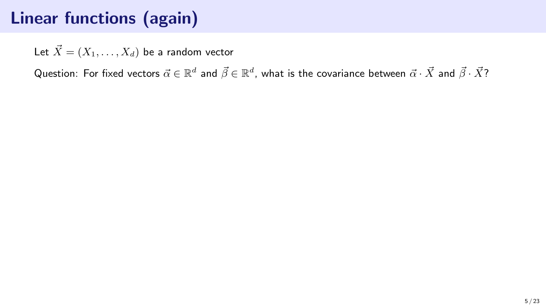Let  $\vec{X} = (X_1, \ldots, X_d)$  be a random vector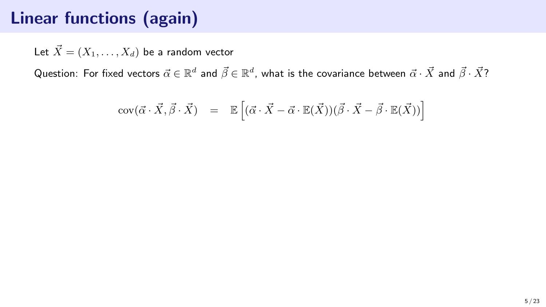Let  $\vec{X} = (X_1, \ldots, X_d)$  be a random vector

$$
cov(\vec{\alpha} \cdot \vec{X}, \vec{\beta} \cdot \vec{X}) = \mathbb{E}\left[ (\vec{\alpha} \cdot \vec{X} - \vec{\alpha} \cdot \mathbb{E}(\vec{X}))(\vec{\beta} \cdot \vec{X} - \vec{\beta} \cdot \mathbb{E}(\vec{X})) \right]
$$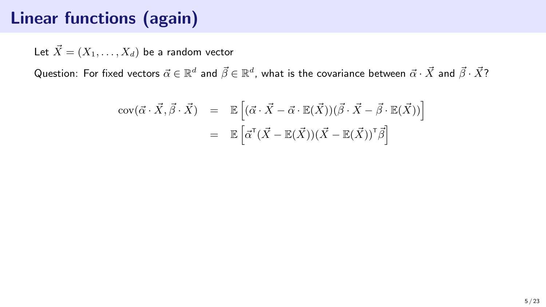Let  $\vec{X} = (X_1, \ldots, X_d)$  be a random vector

$$
cov(\vec{\alpha} \cdot \vec{X}, \vec{\beta} \cdot \vec{X}) = \mathbb{E}\left[ (\vec{\alpha} \cdot \vec{X} - \vec{\alpha} \cdot \mathbb{E}(\vec{X}))(\vec{\beta} \cdot \vec{X} - \vec{\beta} \cdot \mathbb{E}(\vec{X})) \right]
$$
  
=  $\mathbb{E}\left[ \vec{\alpha}^{\mathsf{T}}(\vec{X} - \mathbb{E}(\vec{X}))(\vec{X} - \mathbb{E}(\vec{X}))^{\mathsf{T}} \vec{\beta} \right]$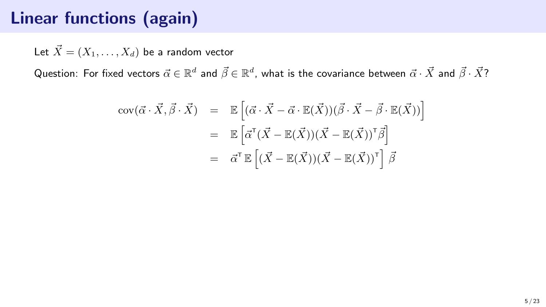Let  $\vec{X} = (X_1, \ldots, X_d)$  be a random vector

$$
\begin{array}{rcl}\n\text{cov}(\vec{\alpha} \cdot \vec{X}, \vec{\beta} \cdot \vec{X}) & = & \mathbb{E}\left[ (\vec{\alpha} \cdot \vec{X} - \vec{\alpha} \cdot \mathbb{E}(\vec{X}))(\vec{\beta} \cdot \vec{X} - \vec{\beta} \cdot \mathbb{E}(\vec{X})) \right] \\
& = & \mathbb{E}\left[ \vec{\alpha}^{\mathsf{T}}(\vec{X} - \mathbb{E}(\vec{X}))(\vec{X} - \mathbb{E}(\vec{X}))^{\mathsf{T}} \vec{\beta} \right] \\
& = & \vec{\alpha}^{\mathsf{T}} \mathbb{E}\left[ (\vec{X} - \mathbb{E}(\vec{X}))(\vec{X} - \mathbb{E}(\vec{X}))^{\mathsf{T}} \right] \vec{\beta}\n\end{array}
$$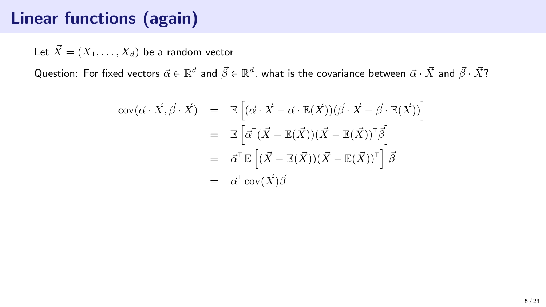Let  $\vec{X} = (X_1, \ldots, X_d)$  be a random vector

$$
\begin{array}{rcl}\n\text{cov}(\vec{\alpha} \cdot \vec{X}, \vec{\beta} \cdot \vec{X}) & = & \mathbb{E}\left[ (\vec{\alpha} \cdot \vec{X} - \vec{\alpha} \cdot \mathbb{E}(\vec{X}))(\vec{\beta} \cdot \vec{X} - \vec{\beta} \cdot \mathbb{E}(\vec{X})) \right] \\
& = & \mathbb{E}\left[ \vec{\alpha}^{\mathsf{T}} (\vec{X} - \mathbb{E}(\vec{X}))(\vec{X} - \mathbb{E}(\vec{X}))^{\mathsf{T}} \vec{\beta} \right] \\
& = & \vec{\alpha}^{\mathsf{T}} \mathbb{E}\left[ (\vec{X} - \mathbb{E}(\vec{X}))(\vec{X} - \mathbb{E}(\vec{X}))^{\mathsf{T}} \right] \vec{\beta} \\
& = & \vec{\alpha}^{\mathsf{T}} \operatorname{cov}(\vec{X}) \vec{\beta}\n\end{array}
$$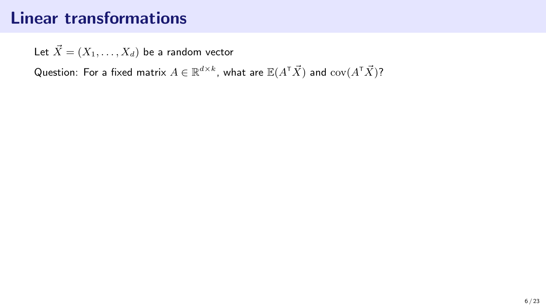# Linear transformations

Let  $\vec{X} = (X_1, \ldots, X_d)$  be a random vector

Question: For a fixed matrix  $A\in\mathbb{R}^{d\times k}$ , what are  $\mathbb{E}(A^\intercal\vec{X})$  and  $\mathrm{cov}(A^\intercal\vec{X})$ ?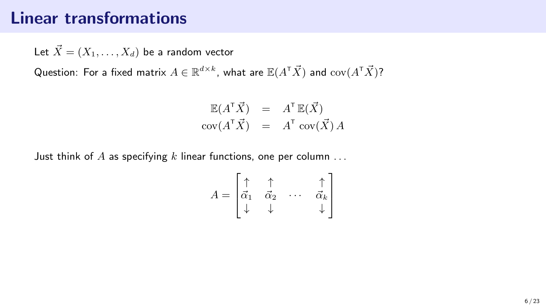### Linear transformations

Let  $\vec{X} = (X_1, \ldots, X_d)$  be a random vector

Question: For a fixed matrix  $A\in\mathbb{R}^{d\times k}$ , what are  $\mathbb{E}(A^\intercal\vec{X})$  and  $\mathrm{cov}(A^\intercal\vec{X})$ ?

$$
\mathbb{E}(A^{\mathsf{T}}\vec{X}) = A^{\mathsf{T}}\mathbb{E}(\vec{X})
$$
  
cov $(A^{\mathsf{T}}\vec{X}) = A^{\mathsf{T}}cov(\vec{X})A$ 

Just think of A as specifying  $k$  linear functions, one per column ...

$$
A = \begin{bmatrix} \uparrow & \uparrow & & \uparrow \\ \vec{\alpha}_1 & \vec{\alpha}_2 & \cdots & \vec{\alpha}_k \\ \downarrow & \downarrow & & \downarrow \end{bmatrix}
$$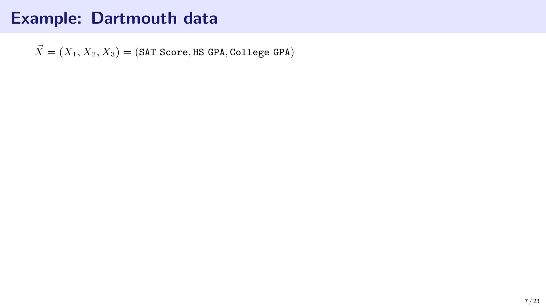$\vec{X} = (X_1, X_2, X_3) = (SAT Score, HS GPA, College GPA)$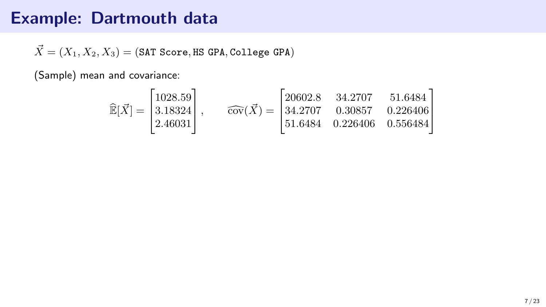$\vec{X} = (X_1, X_2, X_3) = (SAT Score, HS GPA, College GPA)$ 

(Sample) mean and covariance:

$$
\widehat{\mathbb{E}}[\vec{X}] = \begin{bmatrix} 1028.59 \\ 3.18324 \\ 2.46031 \end{bmatrix}, \qquad \widehat{\text{cov}}(\vec{X}) = \begin{bmatrix} 20602.8 & 34.2707 & 51.6484 \\ 34.2707 & 0.30857 & 0.226406 \\ 51.6484 & 0.226406 & 0.556484 \end{bmatrix}
$$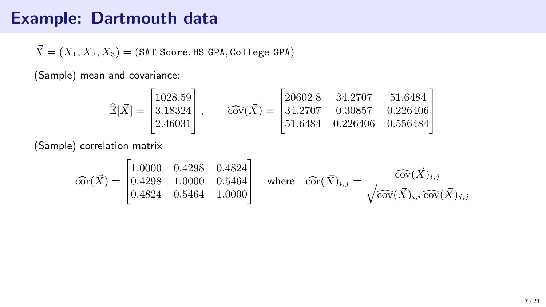$\vec{X} = (X_1, X_2, X_3) = (SAT Score, HS GPA, College GPA)$ 

(Sample) mean and covariance:

$$
\widehat{\mathbb{E}}[\vec{X}] = \begin{bmatrix} 1028.59 \\ 3.18324 \\ 2.46031 \end{bmatrix}, \qquad \widehat{\text{cov}}(\vec{X}) = \begin{bmatrix} 20602.8 & 34.2707 & 51.6484 \\ 34.2707 & 0.30857 & 0.226406 \\ 51.6484 & 0.226406 & 0.556484 \end{bmatrix}
$$

(Sample) correlation matrix

$$
\widehat{\text{cor}}(\vec{X}) = \begin{bmatrix} 1.0000 & 0.4298 & 0.4824 \\ 0.4298 & 1.0000 & 0.5464 \\ 0.4824 & 0.5464 & 1.0000 \end{bmatrix} \quad \text{where} \quad \widehat{\text{cor}}(\vec{X})_{i,j} = \frac{\widehat{\text{cov}}(\vec{X})_{i,j}}{\sqrt{\widehat{\text{cov}}(\vec{X})_{i,i}\,\widehat{\text{cov}}(\vec{X})_{j,j}}
$$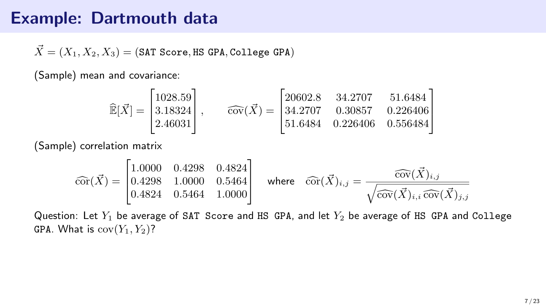$\vec{X} = (X_1, X_2, X_3) = (SAT Score, HS GPA, College GPA)$ 

(Sample) mean and covariance:

$$
\widehat{\mathbb{E}}[\vec{X}] = \begin{bmatrix} 1028.59 \\ 3.18324 \\ 2.46031 \end{bmatrix}, \qquad \widehat{\text{cov}}(\vec{X}) = \begin{bmatrix} 20602.8 & 34.2707 & 51.6484 \\ 34.2707 & 0.30857 & 0.226406 \\ 51.6484 & 0.226406 & 0.556484 \end{bmatrix}
$$

(Sample) correlation matrix

$$
\widehat{\text{cor}}(\vec{X}) = \begin{bmatrix} 1.0000 & 0.4298 & 0.4824 \\ 0.4298 & 1.0000 & 0.5464 \\ 0.4824 & 0.5464 & 1.0000 \end{bmatrix} \quad \text{where} \quad \widehat{\text{cor}}(\vec{X})_{i,j} = \frac{\widehat{\text{cov}}(\vec{X})_{i,j}}{\sqrt{\widehat{\text{cov}}(\vec{X})_{i,i}\,\widehat{\text{cov}}(\vec{X})_{j,j}}}
$$

Question: Let  $Y_1$  be average of SAT Score and HS GPA, and let  $Y_2$  be average of HS GPA and College GPA. What is  $cov(Y_1, Y_2)$ ?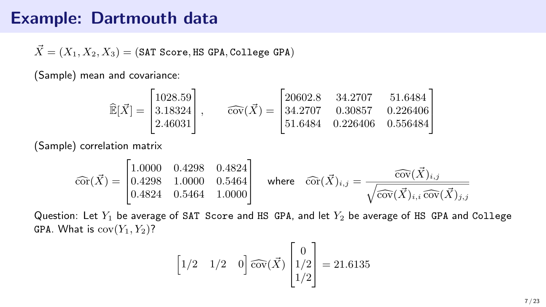$\vec{X} = (X_1, X_2, X_3) = (SAT Score, HS GPA, College GPA)$ 

(Sample) mean and covariance:

$$
\widehat{\mathbb{E}}[\vec{X}] = \begin{bmatrix} 1028.59 \\ 3.18324 \\ 2.46031 \end{bmatrix}, \qquad \widehat{\text{cov}}(\vec{X}) = \begin{bmatrix} 20602.8 & 34.2707 & 51.6484 \\ 34.2707 & 0.30857 & 0.226406 \\ 51.6484 & 0.226406 & 0.556484 \end{bmatrix}
$$

(Sample) correlation matrix

$$
\widehat{\text{cor}}(\vec{X}) = \begin{bmatrix} 1.0000 & 0.4298 & 0.4824 \\ 0.4298 & 1.0000 & 0.5464 \\ 0.4824 & 0.5464 & 1.0000 \end{bmatrix} \text{ where } \widehat{\text{cor}}(\vec{X})_{i,j} = \frac{\widehat{\text{cov}}(\vec{X})_{i,j}}{\sqrt{\widehat{\text{cov}}(\vec{X})_{i,i}\,\widehat{\text{cov}}(\vec{X})_{j,j}}
$$

Question: Let  $Y_1$  be average of SAT Score and HS GPA, and let  $Y_2$  be average of HS GPA and College GPA. What is  $cov(Y_1, Y_2)$ ?

$$
\begin{bmatrix} 1/2 & 1/2 & 0 \end{bmatrix} \widehat{\text{cov}}(\vec{X}) \begin{bmatrix} 0 \\ 1/2 \\ 1/2 \end{bmatrix} = 21.6135
$$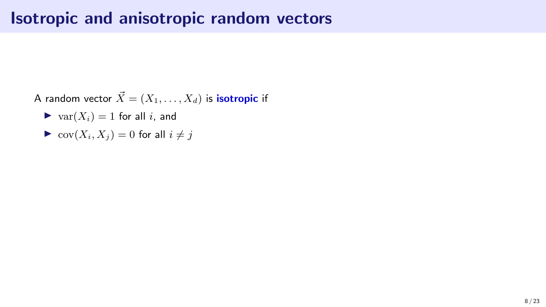A random vector  $\vec{X} = (X_1, \ldots, X_d)$  is **isotropic** if

- $\blacktriangleright$  var $(X_i) = 1$  for all i, and
- $\blacktriangleright$  cov $(X_i, X_j) = 0$  for all  $i \neq j$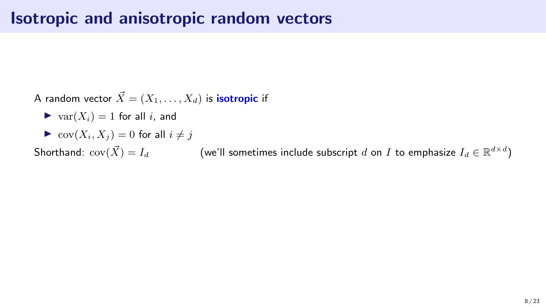A random vector  $\vec{X} = (X_1, \ldots, X_d)$  is **isotropic** if

- $\blacktriangleright$  var $(X_i) = 1$  for all i, and
- $\blacktriangleright$  cov $(X_i, X_j) = 0$  for all  $i \neq j$

Shorthand:  $\mathrm{cov}(\vec{X})=I_d$  (we'll sometimes include subscript  $d$  on  $I$  to emphasize  $I_d\in\mathbb{R}^{d\times d})$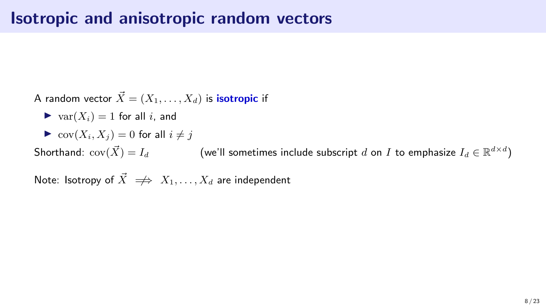A random vector  $\vec{X} = (X_1, \ldots, X_d)$  is **isotropic** if

- $\blacktriangleright$  var $(X_i) = 1$  for all i, and
- $\triangleright$  cov $(X_i, X_j) = 0$  for all  $i \neq j$

Shorthand:  $\mathrm{cov}(\vec{X})=I_d$  (we'll sometimes include subscript  $d$  on  $I$  to emphasize  $I_d\in\mathbb{R}^{d\times d})$ 

Note: Isotropy of  $\vec{X} \implies X_1, \ldots, X_d$  are independent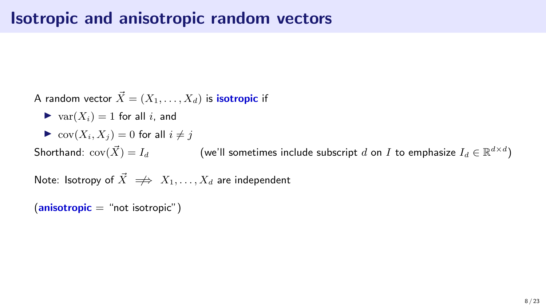A random vector  $\vec{X} = (X_1, \ldots, X_d)$  is **isotropic** if

- $\blacktriangleright$  var $(X_i) = 1$  for all i, and
- $\triangleright$  cov $(X_i, X_j) = 0$  for all  $i \neq j$

Shorthand:  $\mathrm{cov}(\vec{X})=I_d$  (we'll sometimes include subscript  $d$  on  $I$  to emphasize  $I_d\in\mathbb{R}^{d\times d})$ 

Note: Isotropy of  $\vec{X} \implies X_1, \ldots, X_d$  are independent

 $(anisotropic = "not isotropic")$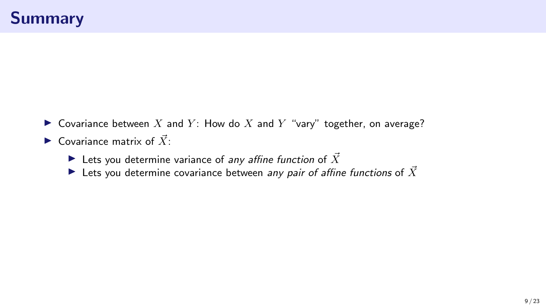- ▶ Covariance between X and Y: How do X and Y "vary" together, on average?
- $\blacktriangleright$  Covariance matrix of  $\vec{X}$ .
	- Eets you determine variance of any affine function of  $\vec{X}$
	- Extraport Lets you determine covariance between any pair of affine functions of  $\vec{X}$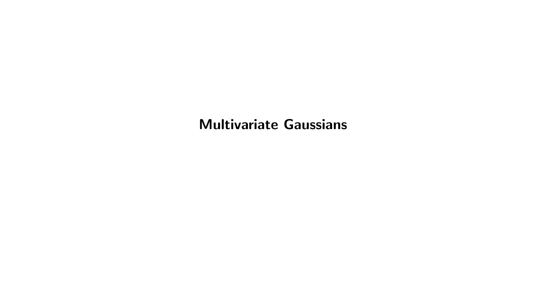#### Multivariate Gaussians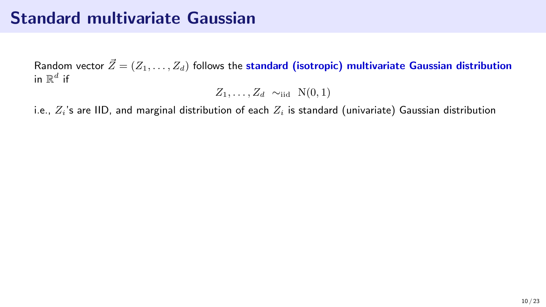# Standard multivariate Gaussian

Random vector  $\vec{Z} = (Z_1, \ldots, Z_d)$  follows the standard (isotropic) multivariate Gaussian distribution in  $\mathbb{R}^d$  if

$$
Z_1,\ldots,Z_d \sim_{\text{iid}} N(0,1)
$$

i.e.,  $Z_i$ 's are IID, and marginal distribution of each  $Z_i$  is standard (univariate) Gaussian distribution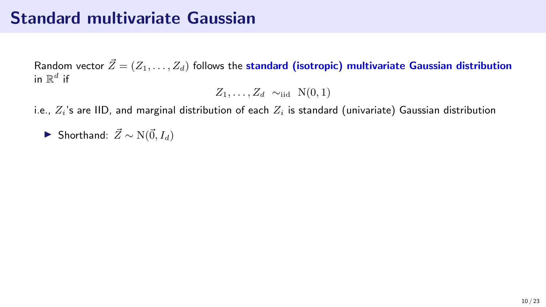# Standard multivariate Gaussian

Random vector  $\vec{Z} = (Z_1, \ldots, Z_d)$  follows the standard (isotropic) multivariate Gaussian distribution in  $\mathbb{R}^d$  if

$$
Z_1,\ldots,Z_d \sim_{\text{iid}} \mathcal{N}(0,1)
$$

i.e.,  $Z_i$ 's are IID, and marginal distribution of each  $Z_i$  is standard (univariate) Gaussian distribution

▶ Shorthand:  $\vec{Z} \sim N(\vec{0}, I_d)$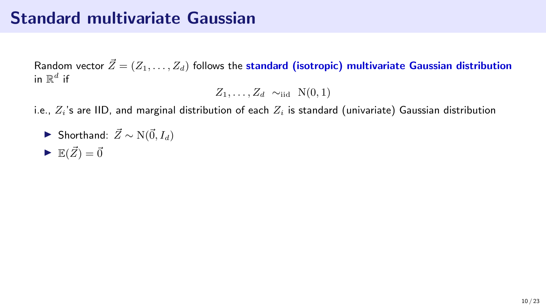# Standard multivariate Gaussian

Random vector  $\vec{Z} = (Z_1, \ldots, Z_d)$  follows the standard (isotropic) multivariate Gaussian distribution in  $\mathbb{R}^d$  if

$$
Z_1,\ldots,Z_d \sim_{\text{iid}} N(0,1)
$$

i.e.,  $Z_i$ 's are IID, and marginal distribution of each  $Z_i$  is standard (univariate) Gaussian distribution

► Shorthand: 
$$
\vec{Z} \sim N(\vec{0}, I_d)
$$
  
▶  $\mathbb{E}(\vec{Z}) = \vec{0}$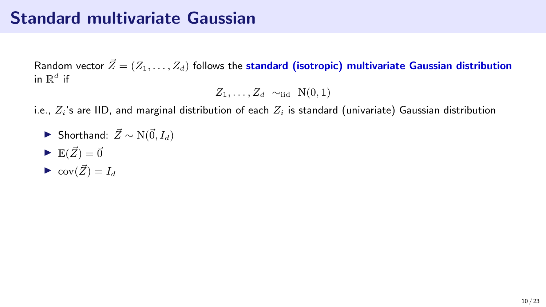# Standard multivariate Gaussian

Random vector  $\vec{Z} = (Z_1, \ldots, Z_d)$  follows the standard (isotropic) multivariate Gaussian distribution in  $\mathbb{R}^d$  if

$$
Z_1,\ldots,Z_d \sim_{\text{iid}} \mathcal{N}(0,1)
$$

i.e.,  $Z_i$ 's are IID, and marginal distribution of each  $Z_i$  is standard (univariate) Gaussian distribution

- ▶ Shorthand:  $\vec{Z} \sim N(\vec{0}, I_d)$
- $\blacktriangleright$   $\mathbb{E}(\vec{Z}) = \vec{0}$
- $\bullet$  cov $(\vec{Z}) = I_d$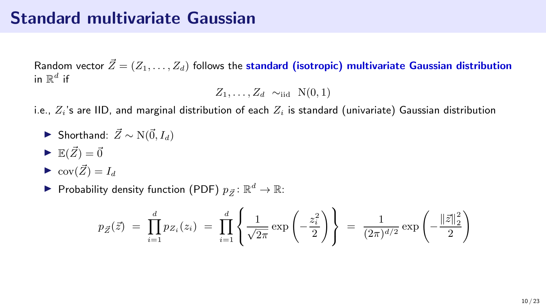## Standard multivariate Gaussian

Random vector  $\vec{Z} = (Z_1, \ldots, Z_d)$  follows the standard (isotropic) multivariate Gaussian distribution in  $\mathbb{R}^d$  if

$$
Z_1,\ldots,Z_d \sim_{\text{iid}} \mathcal{N}(0,1)
$$

i.e.,  $Z_i$ 's are IID, and marginal distribution of each  $Z_i$  is standard (univariate) Gaussian distribution

▶ Shorthand: 
$$
\vec{Z} \sim N(\vec{0}, I_d)
$$

$$
\blacktriangleright \mathbb{E}(\vec{Z}) = \vec{0}
$$

$$
\blacktriangleright \operatorname{cov}(\vec{Z}) = I_d
$$

▶ Probability density function (PDF)  $p_{\vec{Z}} \colon \mathbb{R}^d \to \mathbb{R}$ :

$$
p_{\vec{Z}}(\vec{z}) = \prod_{i=1}^{d} p_{Z_i}(z_i) = \prod_{i=1}^{d} \left\{ \frac{1}{\sqrt{2\pi}} \exp\left(-\frac{z_i^2}{2}\right) \right\} = \frac{1}{(2\pi)^{d/2}} \exp\left(-\frac{\|\vec{z}\|_2^2}{2}\right)
$$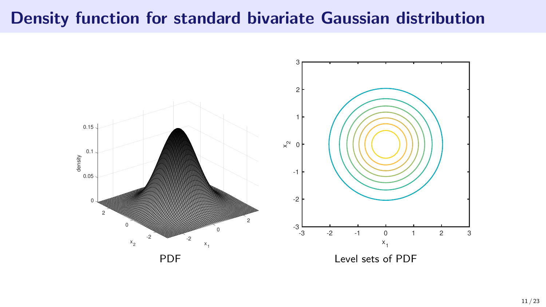## Density function for standard bivariate Gaussian distribution

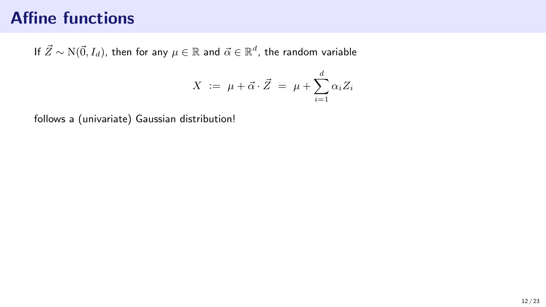If  $\vec{Z} \sim \mathrm{N}(\vec{0}, I_d),$  then for any  $\mu \in \mathbb{R}$  and  $\vec{\alpha} \in \mathbb{R}^d,$  the random variable

$$
X := \mu + \vec{\alpha} \cdot \vec{Z} = \mu + \sum_{i=1}^{d} \alpha_i Z_i
$$

follows a (univariate) Gaussian distribution!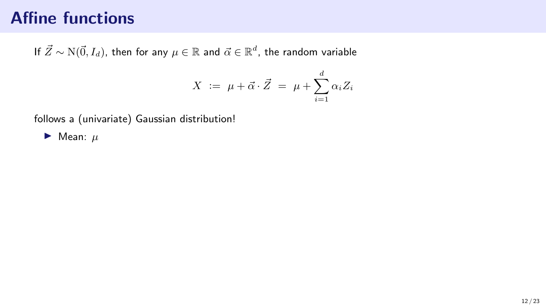If  $\vec{Z} \sim \mathrm{N}(\vec{0}, I_d),$  then for any  $\mu \in \mathbb{R}$  and  $\vec{\alpha} \in \mathbb{R}^d,$  the random variable

$$
X \ := \ \mu + \vec{\alpha} \cdot \vec{Z} \ = \ \mu + \sum_{i=1}^{d} \alpha_i Z_i
$$

follows a (univariate) Gaussian distribution!

 $\blacktriangleright$  Mean:  $\mu$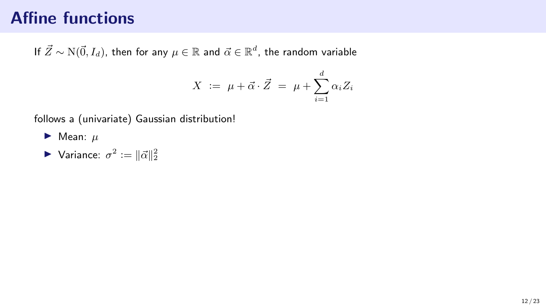If  $\vec{Z} \sim \mathrm{N}(\vec{0}, I_d),$  then for any  $\mu \in \mathbb{R}$  and  $\vec{\alpha} \in \mathbb{R}^d,$  the random variable

$$
X \ := \ \mu + \vec{\alpha} \cdot \vec{Z} \ = \ \mu + \sum_{i=1}^{d} \alpha_i Z_i
$$

follows a (univariate) Gaussian distribution!

 $\blacktriangleright$  Mean:  $\mu$ 

▶ Variance:  $σ^2 := ||\vec{α}||_2^2$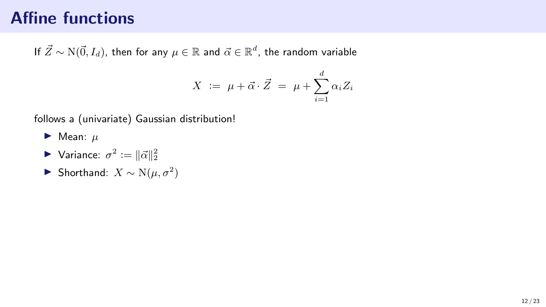If  $\vec{Z} \sim \mathrm{N}(\vec{0}, I_d),$  then for any  $\mu \in \mathbb{R}$  and  $\vec{\alpha} \in \mathbb{R}^d,$  the random variable

$$
X \ := \ \mu + \vec{\alpha} \cdot \vec{Z} \ = \ \mu + \sum_{i=1}^{d} \alpha_i Z_i
$$

follows a (univariate) Gaussian distribution!

- $\blacktriangleright$  Mean:  $\mu$
- ▶ Variance:  $σ^2 := ||\vec{α}||_2^2$
- ▶ Shorthand:  $X \sim N(\mu, \sigma^2)$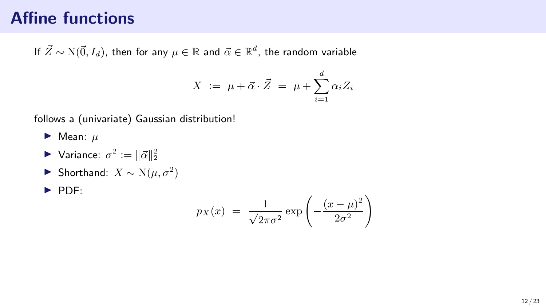If  $\vec{Z} \sim \mathrm{N}(\vec{0}, I_d),$  then for any  $\mu \in \mathbb{R}$  and  $\vec{\alpha} \in \mathbb{R}^d,$  the random variable

$$
X := \mu + \vec{\alpha} \cdot \vec{Z} = \mu + \sum_{i=1}^{d} \alpha_i Z_i
$$

follows a (univariate) Gaussian distribution!

 $\blacktriangleright$  Mean:  $\mu$ 

- ▶ Variance:  $σ^2 := ||\vec{α}||_2^2$
- ▶ Shorthand:  $X \sim N(\mu, \sigma^2)$
- ▶ PDF:

$$
p_X(x) = \frac{1}{\sqrt{2\pi\sigma^2}} \exp\left(-\frac{(x-\mu)^2}{2\sigma^2}\right)
$$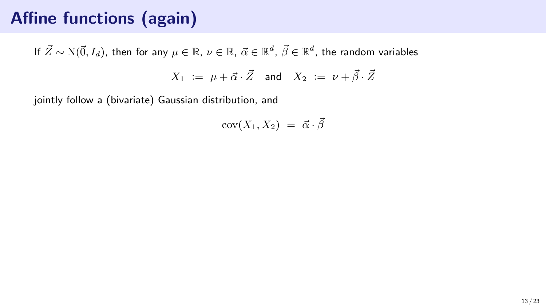# Affine functions (again)

If  $\vec{Z}\sim \text{N}(\vec{0},I_d),$  then for any  $\mu\in\mathbb{R}$ ,  $\nu\in\mathbb{R}$ ,  $\vec{\alpha}\in\mathbb{R}^d$ ,  $\vec{\beta}\in\mathbb{R}^d$ , the random variables  $X_1 := \mu + \vec{\alpha} \cdot \vec{Z}$  and  $X_2 := \nu + \vec{\beta} \cdot \vec{Z}$ 

jointly follow a (bivariate) Gaussian distribution, and

$$
cov(X_1, X_2) = \vec{\alpha} \cdot \vec{\beta}
$$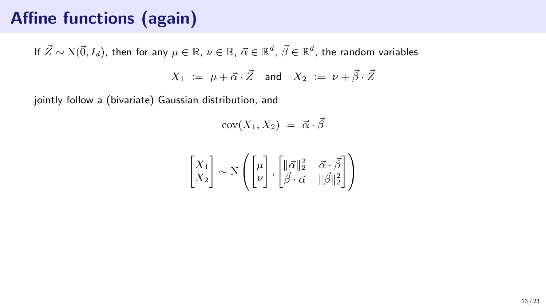# Affine functions (again)

If  $\vec{Z}\sim \text{N}(\vec{0},I_d),$  then for any  $\mu\in\mathbb{R}$ ,  $\nu\in\mathbb{R}$ ,  $\vec{\alpha}\in\mathbb{R}^d$ ,  $\vec{\beta}\in\mathbb{R}^d$ , the random variables  $X_1 := \mu + \vec{\alpha} \cdot \vec{Z}$  and  $X_2 := \nu + \vec{\beta} \cdot \vec{Z}$ 

jointly follow a (bivariate) Gaussian distribution, and

$$
cov(X_1, X_2) = \vec{\alpha} \cdot \vec{\beta}
$$

$$
\begin{bmatrix} X_1 \\ X_2 \end{bmatrix} \sim \mathcal{N}\left( \begin{bmatrix} \mu \\ \nu \end{bmatrix}, \begin{bmatrix} \|\vec{\alpha}\|_2^2 & \vec{\alpha} \cdot \vec{\beta} \\ \vec{\beta} \cdot \vec{\alpha} & \|\vec{\beta}\|_2^2 \end{bmatrix} \right)
$$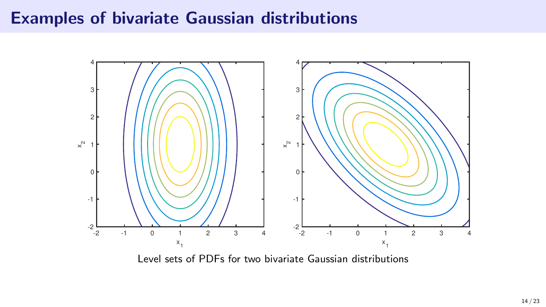#### Examples of bivariate Gaussian distributions



Level sets of PDFs for two bivariate Gaussian distributions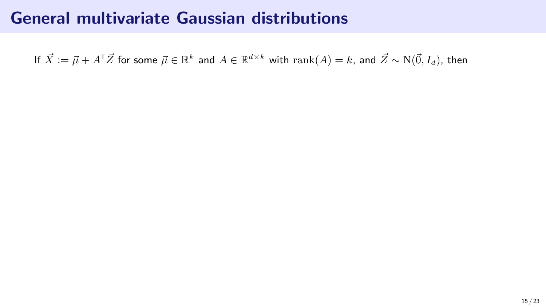If  $\vec X:=\vec\mu+A^\intercal\vec Z$  for some  $\vec\mu\in\mathbb R^k$  and  $A\in\mathbb R^{d\times k}$  with  $\mathrm{rank}(A)=k$ , and  $\vec Z\sim\mathrm{N}(\vec0,I_d),$  then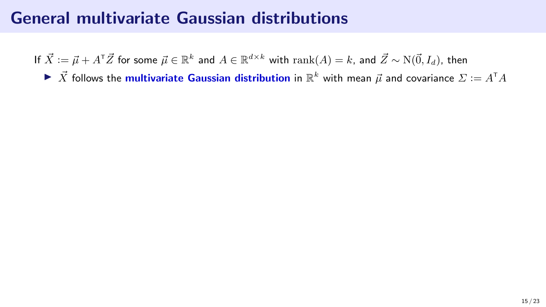If  $\vec X:=\vec\mu+A^\intercal\vec Z$  for some  $\vec\mu\in\mathbb R^k$  and  $A\in\mathbb R^{d\times k}$  with  $\mathrm{rank}(A)=k$ , and  $\vec Z\sim\mathrm{N}(\vec0,I_d),$  then

 $\blacktriangleright \vec{X}$  follows the multivariate Gaussian distribution in  $\mathbb{R}^k$  with mean  $\vec{\mu}$  and covariance  $\Sigma \coloneqq A^{\mathsf{T}} A$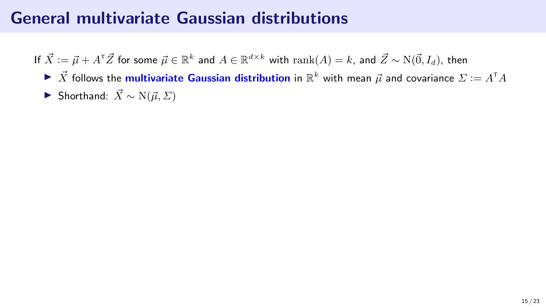If  $\vec X:=\vec\mu+A^\intercal\vec Z$  for some  $\vec\mu\in\mathbb R^k$  and  $A\in\mathbb R^{d\times k}$  with  $\mathrm{rank}(A)=k$ , and  $\vec Z\sim\mathrm{N}(\vec0,I_d),$  then

- $\blacktriangleright \vec{X}$  follows the multivariate Gaussian distribution in  $\mathbb{R}^k$  with mean  $\vec{\mu}$  and covariance  $\Sigma \coloneqq A^{\mathsf{T}} A$
- ▶ Shorthand:  $\vec{X} \sim N(\vec{\mu}, \Sigma)$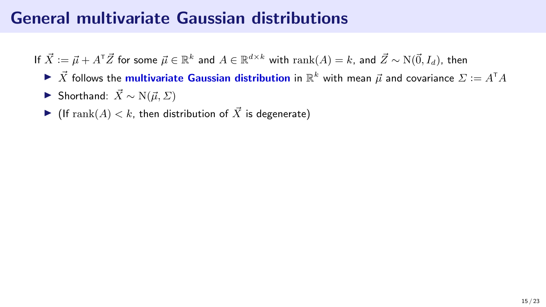If  $\vec X:=\vec\mu+A^\intercal\vec Z$  for some  $\vec\mu\in\mathbb R^k$  and  $A\in\mathbb R^{d\times k}$  with  $\mathrm{rank}(A)=k$ , and  $\vec Z\sim\mathrm{N}(\vec0,I_d),$  then

- $\blacktriangleright \vec{X}$  follows the multivariate Gaussian distribution in  $\mathbb{R}^k$  with mean  $\vec{\mu}$  and covariance  $\Sigma \coloneqq A^{\mathsf{T}} A$
- ▶ Shorthand:  $\vec{X} \sim N(\vec{\mu}, \Sigma)$
- If rank $(A) < k$ , then distribution of  $\vec{X}$  is degenerate)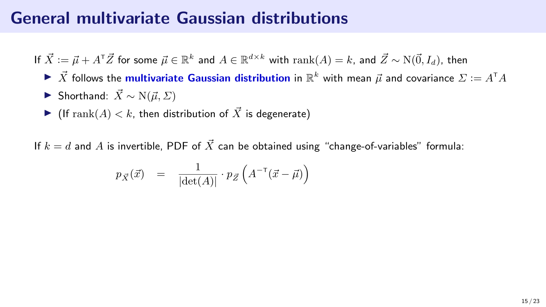If  $\vec X:=\vec\mu+A^\intercal\vec Z$  for some  $\vec\mu\in\mathbb R^k$  and  $A\in\mathbb R^{d\times k}$  with  $\mathrm{rank}(A)=k$ , and  $\vec Z\sim\mathrm{N}(\vec0,I_d),$  then

- $\blacktriangleright \vec{X}$  follows the multivariate Gaussian distribution in  $\mathbb{R}^k$  with mean  $\vec{\mu}$  and covariance  $\Sigma \coloneqq A^{\mathsf{T}} A$
- ▶ Shorthand:  $\vec{X} \sim N(\vec{u}, \Sigma)$
- If rank $(A) < k$ , then distribution of  $\vec{X}$  is degenerate)

If  $k = d$  and A is invertible, PDF of  $\vec{X}$  can be obtained using "change-of-variables" formula:

$$
p_{\vec{X}}(\vec{x}) = \frac{1}{|\det(A)|} \cdot p_{\vec{Z}}\left(A^{-\tau}(\vec{x} - \vec{\mu})\right)
$$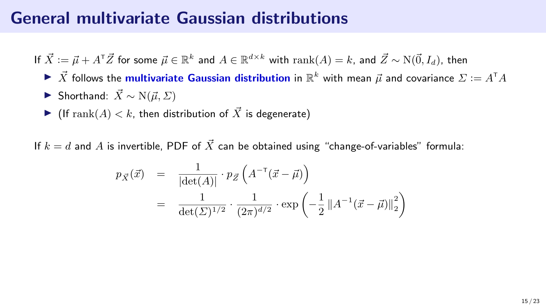If  $\vec X:=\vec\mu+A^\intercal\vec Z$  for some  $\vec\mu\in\mathbb R^k$  and  $A\in\mathbb R^{d\times k}$  with  $\mathrm{rank}(A)=k$ , and  $\vec Z\sim\mathrm{N}(\vec0,I_d),$  then

- $\blacktriangleright \vec{X}$  follows the multivariate Gaussian distribution in  $\mathbb{R}^k$  with mean  $\vec{\mu}$  and covariance  $\Sigma \coloneqq A^{\mathsf{T}} A$
- ▶ Shorthand:  $\vec{X} \sim N(\vec{u}, \Sigma)$
- If rank $(A) < k$ , then distribution of  $\vec{X}$  is degenerate)

If  $k = d$  and A is invertible, PDF of  $\vec{X}$  can be obtained using "change-of-variables" formula:

$$
p_{\vec{X}}(\vec{x}) = \frac{1}{|\det(A)|} \cdot p_{\vec{Z}} \left( A^{-\top}(\vec{x} - \vec{\mu}) \right)
$$
  
= 
$$
\frac{1}{\det(\Sigma)^{1/2}} \cdot \frac{1}{(2\pi)^{d/2}} \cdot \exp\left( -\frac{1}{2} ||A^{-1}(\vec{x} - \vec{\mu})||_2^2 \right)
$$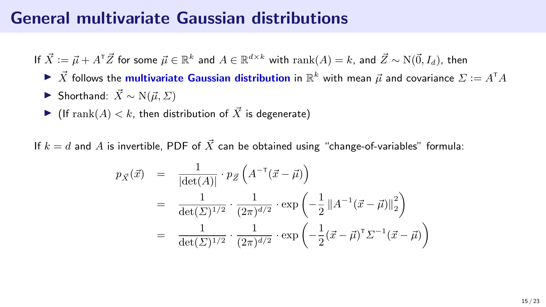If  $\vec X:=\vec\mu+A^\intercal\vec Z$  for some  $\vec\mu\in\mathbb R^k$  and  $A\in\mathbb R^{d\times k}$  with  $\mathrm{rank}(A)=k$ , and  $\vec Z\sim\mathrm{N}(\vec0,I_d),$  then

- $\blacktriangleright \vec{X}$  follows the multivariate Gaussian distribution in  $\mathbb{R}^k$  with mean  $\vec{\mu}$  and covariance  $\Sigma \coloneqq A^{\mathsf{T}} A$
- ▶ Shorthand:  $\vec{X} \sim N(\vec{u}, \Sigma)$
- If rank $(A) < k$ , then distribution of  $\vec{X}$  is degenerate)

If  $k = d$  and A is invertible, PDF of  $\vec{X}$  can be obtained using "change-of-variables" formula:

$$
p_{\vec{X}}(\vec{x}) = \frac{1}{|\det(A)|} \cdot p_{\vec{Z}} \left( A^{-\top}(\vec{x} - \vec{\mu}) \right)
$$
  
= 
$$
\frac{1}{\det(\Sigma)^{1/2}} \cdot \frac{1}{(2\pi)^{d/2}} \cdot \exp\left( -\frac{1}{2} ||A^{-1}(\vec{x} - \vec{\mu})||_2^2 \right)
$$
  
= 
$$
\frac{1}{\det(\Sigma)^{1/2}} \cdot \frac{1}{(2\pi)^{d/2}} \cdot \exp\left( -\frac{1}{2} (\vec{x} - \vec{\mu})^{\top} \Sigma^{-1} (\vec{x} - \vec{\mu}) \right)
$$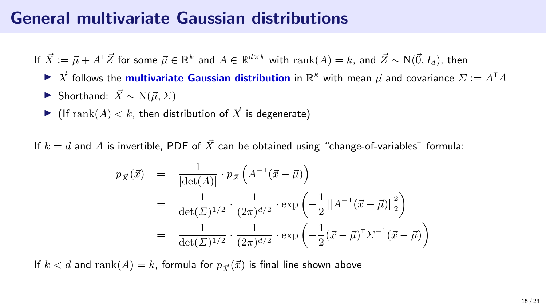If  $\vec X:=\vec\mu+A^\intercal\vec Z$  for some  $\vec\mu\in\mathbb R^k$  and  $A\in\mathbb R^{d\times k}$  with  $\mathrm{rank}(A)=k$ , and  $\vec Z\sim\mathrm{N}(\vec0,I_d),$  then

- $\blacktriangleright \vec{X}$  follows the multivariate Gaussian distribution in  $\mathbb{R}^k$  with mean  $\vec{\mu}$  and covariance  $\Sigma \coloneqq A^{\mathsf{T}} A$
- ▶ Shorthand:  $\vec{X} \sim N(\vec{u}, \Sigma)$
- If rank $(A) < k$ , then distribution of  $\vec{X}$  is degenerate)

If  $k = d$  and A is invertible, PDF of  $\vec{X}$  can be obtained using "change-of-variables" formula:

$$
p_{\vec{X}}(\vec{x}) = \frac{1}{|\det(A)|} \cdot p_{\vec{Z}} \left( A^{-\top}(\vec{x} - \vec{\mu}) \right)
$$
  
= 
$$
\frac{1}{\det(\Sigma)^{1/2}} \cdot \frac{1}{(2\pi)^{d/2}} \cdot \exp\left( -\frac{1}{2} ||A^{-1}(\vec{x} - \vec{\mu})||_2^2 \right)
$$
  
= 
$$
\frac{1}{\det(\Sigma)^{1/2}} \cdot \frac{1}{(2\pi)^{d/2}} \cdot \exp\left( -\frac{1}{2} (\vec{x} - \vec{\mu})^{\top} \Sigma^{-1} (\vec{x} - \vec{\mu}) \right)
$$

If  $k < d$  and  $\text{rank}(A) = k$ , formula for  $p_{\vec{x}}(\vec{x})$  is final line shown above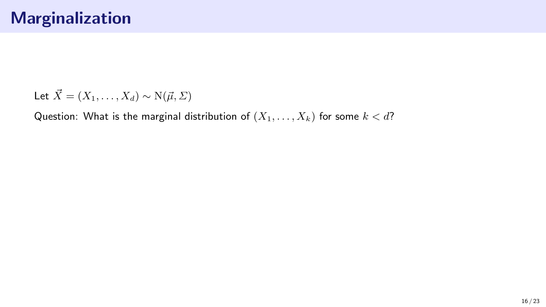Question: What is the marginal distribution of  $(X_1, \ldots, X_k)$  for some  $k < d$ ?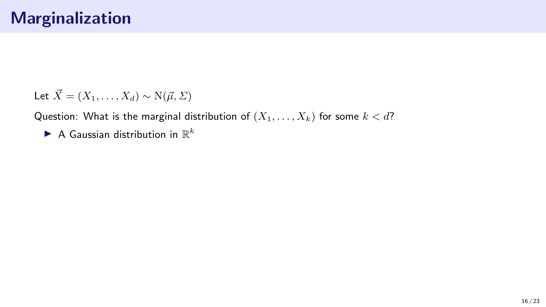Question: What is the marginal distribution of  $(X_1, \ldots, X_k)$  for some  $k < d$ ?

 $\blacktriangleright$  A Gaussian distribution in  $\mathbb{R}^k$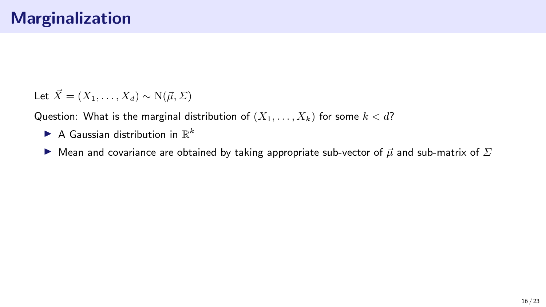Question: What is the marginal distribution of  $(X_1, \ldots, X_k)$  for some  $k < d$ ?

- $\blacktriangleright$  A Gaussian distribution in  $\mathbb{R}^k$
- ▶ Mean and covariance are obtained by taking appropriate sub-vector of  $\vec{\mu}$  and sub-matrix of  $\Sigma$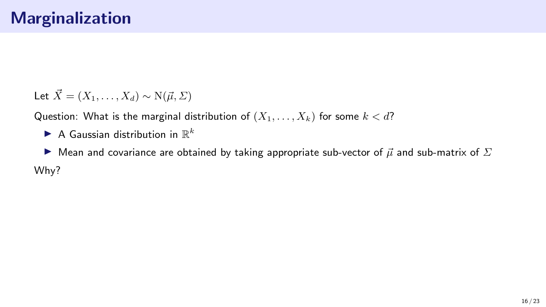Question: What is the marginal distribution of  $(X_1, \ldots, X_k)$  for some  $k < d$ ?

- $\blacktriangleright$  A Gaussian distribution in  $\mathbb{R}^k$
- ▶ Mean and covariance are obtained by taking appropriate sub-vector of  $\vec{\mu}$  and sub-matrix of  $\Sigma$ Why?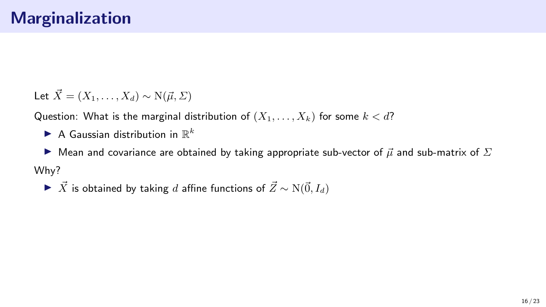Question: What is the marginal distribution of  $(X_1, \ldots, X_k)$  for some  $k < d$ ?

 $\blacktriangleright$  A Gaussian distribution in  $\mathbb{R}^k$ 

▶ Mean and covariance are obtained by taking appropriate sub-vector of  $\vec{\mu}$  and sub-matrix of  $\Sigma$ Why?

▶  $\vec{X}$  is obtained by taking d affine functions of  $\vec{Z} \sim N(\vec{0}, I_d)$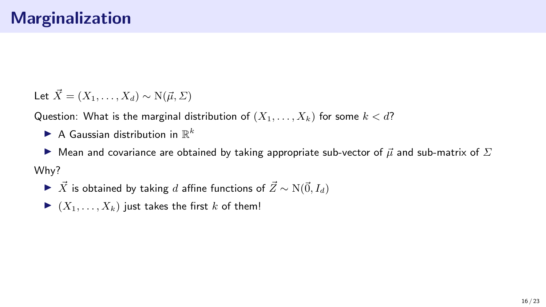Question: What is the marginal distribution of  $(X_1, \ldots, X_k)$  for some  $k < d$ ?

 $\blacktriangleright$  A Gaussian distribution in  $\mathbb{R}^k$ 

▶ Mean and covariance are obtained by taking appropriate sub-vector of  $\vec{\mu}$  and sub-matrix of  $\Sigma$ Why?

- ▶  $\vec{X}$  is obtained by taking d affine functions of  $\vec{Z} \sim N(\vec{0}, I_d)$
- $\blacktriangleright$   $(X_1, \ldots, X_k)$  just takes the first k of them!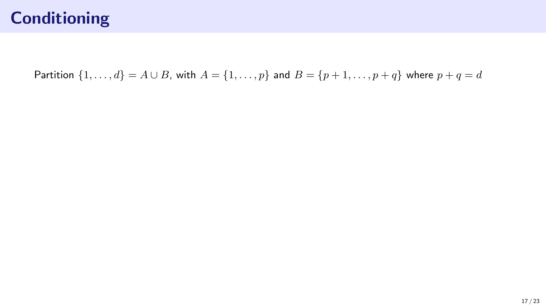Partition  $\{1, ..., d\} = A \cup B$ , with  $A = \{1, ..., p\}$  and  $B = \{p + 1, ..., p + q\}$  where  $p + q = d$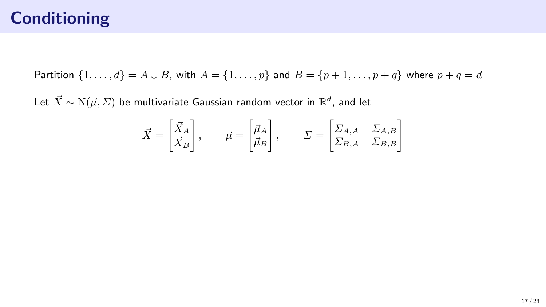Partition  $\{1, ..., d\} = A \cup B$ , with  $A = \{1, ..., p\}$  and  $B = \{p + 1, ..., p + q\}$  where  $p + q = d$ 

Let  $\vec{X} \sim \mathrm{N}(\vec{\mu},\mathit{\Sigma})$  be multivariate Gaussian random vector in  $\mathbb{R}^d$ , and let

$$
\vec{X} = \begin{bmatrix} \vec{X}_A \\ \vec{X}_B \end{bmatrix}, \qquad \vec{\mu} = \begin{bmatrix} \vec{\mu}_A \\ \vec{\mu}_B \end{bmatrix}, \qquad \Sigma = \begin{bmatrix} \Sigma_{A,A} & \Sigma_{A,B} \\ \Sigma_{B,A} & \Sigma_{B,B} \end{bmatrix}
$$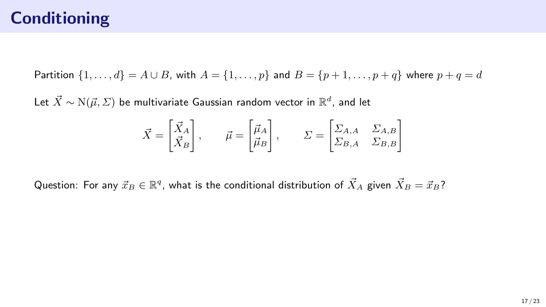Partition  $\{1,\ldots,d\} = A \cup B$ , with  $A = \{1,\ldots,p\}$  and  $B = \{p+1,\ldots,p+q\}$  where  $p+q = d$ 

Let  $\vec{X} \sim \mathrm{N}(\vec{\mu},\mathit{\Sigma})$  be multivariate Gaussian random vector in  $\mathbb{R}^d$ , and let

$$
\vec{X} = \begin{bmatrix} \vec{X}_A \\ \vec{X}_B \end{bmatrix}, \qquad \vec{\mu} = \begin{bmatrix} \vec{\mu}_A \\ \vec{\mu}_B \end{bmatrix}, \qquad \Sigma = \begin{bmatrix} \Sigma_{A,A} & \Sigma_{A,B} \\ \Sigma_{B,A} & \Sigma_{B,B} \end{bmatrix}
$$

Question: For any  $\vec{x}_B\in\mathbb{R}^q$ , what is the conditional distribution of  $\vec{X}_A$  given  $\vec{X}_B=\vec{x}_B?$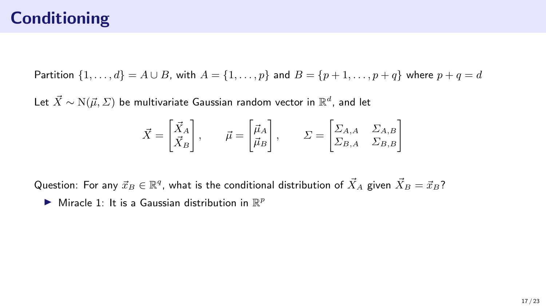Partition  $\{1,\ldots,d\} = A \cup B$ , with  $A = \{1,\ldots,p\}$  and  $B = \{p+1,\ldots,p+q\}$  where  $p+q = d$ 

Let  $\vec{X} \sim \mathrm{N}(\vec{\mu},\mathit{\Sigma})$  be multivariate Gaussian random vector in  $\mathbb{R}^d$ , and let

$$
\vec{X} = \begin{bmatrix} \vec{X}_A \\ \vec{X}_B \end{bmatrix}, \qquad \vec{\mu} = \begin{bmatrix} \vec{\mu}_A \\ \vec{\mu}_B \end{bmatrix}, \qquad \Sigma = \begin{bmatrix} \Sigma_{A,A} & \Sigma_{A,B} \\ \Sigma_{B,A} & \Sigma_{B,B} \end{bmatrix}
$$

Question: For any  $\vec{x}_B\in\mathbb{R}^q$ , what is the conditional distribution of  $\vec{X}_A$  given  $\vec{X}_B=\vec{x}_B?$ 

 $\blacktriangleright$  Miracle 1: It is a Gaussian distribution in  $\mathbb{R}^p$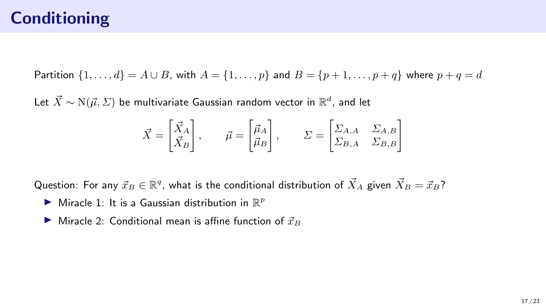Partition  $\{1,\ldots,d\} = A \cup B$ , with  $A = \{1,\ldots,p\}$  and  $B = \{p+1,\ldots,p+q\}$  where  $p+q = d$ 

Let  $\vec{X} \sim \mathrm{N}(\vec{\mu},\mathit{\Sigma})$  be multivariate Gaussian random vector in  $\mathbb{R}^d$ , and let

$$
\vec{X} = \begin{bmatrix} \vec{X}_A \\ \vec{X}_B \end{bmatrix}, \qquad \vec{\mu} = \begin{bmatrix} \vec{\mu}_A \\ \vec{\mu}_B \end{bmatrix}, \qquad \Sigma = \begin{bmatrix} \Sigma_{A,A} & \Sigma_{A,B} \\ \Sigma_{B,A} & \Sigma_{B,B} \end{bmatrix}
$$

Question: For any  $\vec{x}_B\in\mathbb{R}^q$ , what is the conditional distribution of  $\vec{X}_A$  given  $\vec{X}_B=\vec{x}_B?$ 

- $\blacktriangleright$  Miracle 1: It is a Gaussian distribution in  $\mathbb{R}^p$
- $\blacktriangleright$  Miracle 2: Conditional mean is affine function of  $\vec{x}_B$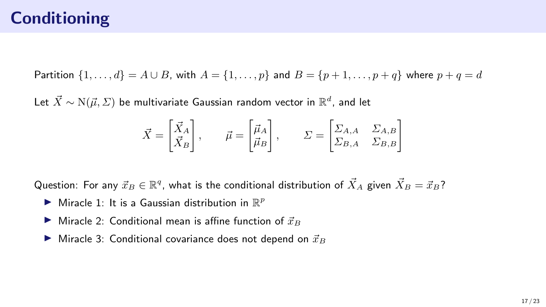Partition  $\{1,\ldots,d\} = A \cup B$ , with  $A = \{1,\ldots,p\}$  and  $B = \{p+1,\ldots,p+q\}$  where  $p+q = d$ 

Let  $\vec{X} \sim \mathrm{N}(\vec{\mu},\mathit{\Sigma})$  be multivariate Gaussian random vector in  $\mathbb{R}^d$ , and let

$$
\vec{X} = \begin{bmatrix} \vec{X}_A \\ \vec{X}_B \end{bmatrix}, \qquad \vec{\mu} = \begin{bmatrix} \vec{\mu}_A \\ \vec{\mu}_B \end{bmatrix}, \qquad \Sigma = \begin{bmatrix} \Sigma_{A,A} & \Sigma_{A,B} \\ \Sigma_{B,A} & \Sigma_{B,B} \end{bmatrix}
$$

Question: For any  $\vec{x}_B\in\mathbb{R}^q$ , what is the conditional distribution of  $\vec{X}_A$  given  $\vec{X}_B=\vec{x}_B?$ 

- $\blacktriangleright$  Miracle 1: It is a Gaussian distribution in  $\mathbb{R}^p$
- $\blacktriangleright$  Miracle 2: Conditional mean is affine function of  $\vec{x}_B$
- $\blacktriangleright$  Miracle 3: Conditional covariance does not depend on  $\vec{x}_B$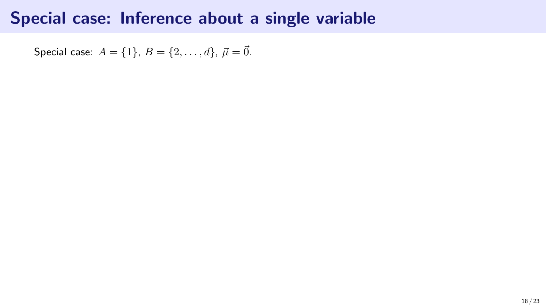Special case:  $A = \{1\}, B = \{2, ..., d\}, \vec{\mu} = \vec{0}.$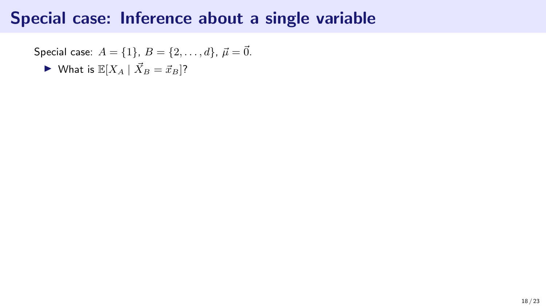Special case: 
$$
A = \{1\}, B = \{2, \ldots, d\}, \vec{\mu} = \vec{0}.
$$

\nWhat is  $\mathbb{E}[X_A \mid \vec{X}_B = \vec{x}_B]$ ?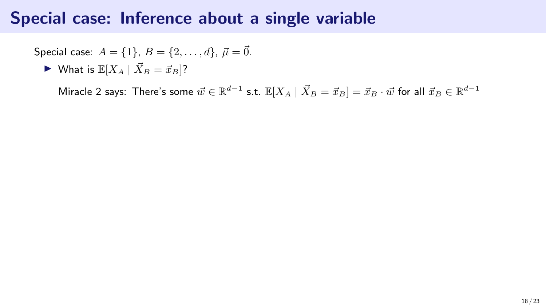Special case: 
$$
A = \{1\}, B = \{2, ..., d\}, \vec{\mu} = \vec{0}.
$$

$$
\blacktriangleright \text{ What is } \mathbb{E}[X_A \mid \vec{X}_B = \vec{x}_B]?
$$

Miracle 2 says: There's some  $\vec{w} \in \mathbb{R}^{d-1}$  s.t.  $\mathbb{E}[X_A \mid \vec{X}_B = \vec{x}_B] = \vec{x}_B \cdot \vec{w}$  for all  $\vec{x}_B \in \mathbb{R}^{d-1}$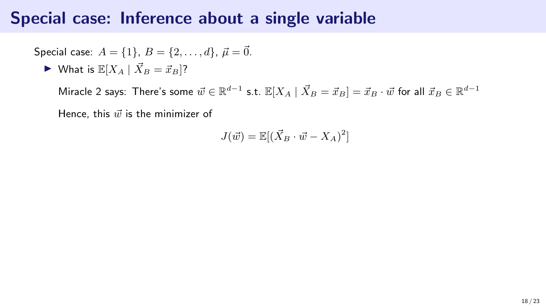Special case: 
$$
A = \{1\}, B = \{2, ..., d\}, \vec{\mu} = \vec{0}.
$$
  
\n
$$
\triangleright \text{ What is } \mathbb{E}[X_A \mid \vec{X}_B = \vec{x}_B]?
$$

Miracle 2 says: There's some  $\vec{w} \in \mathbb{R}^{d-1}$  s.t.  $\mathbb{E}[X_A \mid \vec{X}_B = \vec{x}_B] = \vec{x}_B \cdot \vec{w}$  for all  $\vec{x}_B \in \mathbb{R}^{d-1}$ Hence, this  $\vec{w}$  is the minimizer of

$$
J(\vec{w}) = \mathbb{E}[(\vec{X}_B \cdot \vec{w} - X_A)^2]
$$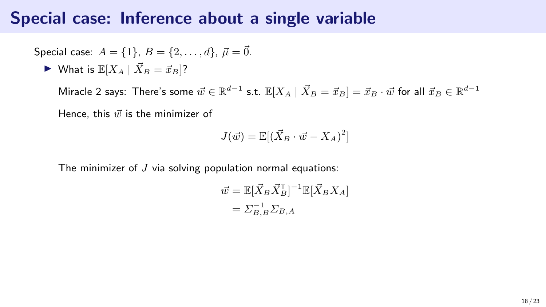#### Special case: Inference about a single variable

Special case: 
$$
A = \{1\}, B = \{2, ..., d\}, \vec{\mu} = \vec{0}.
$$
  
\nWhat is  $\mathbb{E}[X_A | \vec{X}_B = \vec{x}_B]$ ?

Miracle 2 says: There's some  $\vec{w} \in \mathbb{R}^{d-1}$  s.t.  $\mathbb{E}[X_A \mid \vec{X}_B = \vec{x}_B] = \vec{x}_B \cdot \vec{w}$  for all  $\vec{x}_B \in \mathbb{R}^{d-1}$ Hence, this  $\vec{w}$  is the minimizer of

$$
J(\vec{w}) = \mathbb{E}[(\vec{X}_B \cdot \vec{w} - X_A)^2]
$$

The minimizer of  $J$  via solving population normal equations:

$$
\vec{w} = \mathbb{E}[\vec{X}_B \vec{X}_B^\mathsf{T}]^{-1} \mathbb{E}[\vec{X}_B X_A]
$$

$$
= \Sigma_{B,B}^{-1} \Sigma_{B,A}
$$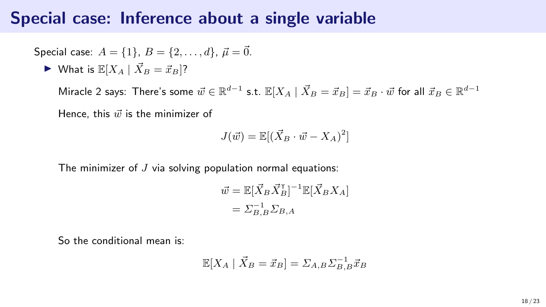#### Special case: Inference about a single variable

Special case: 
$$
A = \{1\}, B = \{2, \ldots, d\}, \vec{\mu} = \vec{0}.
$$

\nWhat is  $\mathbb{E}[X_A \mid \vec{X}_B = \vec{x}_B]$ ?

Miracle 2 says: There's some  $\vec{w} \in \mathbb{R}^{d-1}$  s.t.  $\mathbb{E}[X_A \mid \vec{X}_B = \vec{x}_B] = \vec{x}_B \cdot \vec{w}$  for all  $\vec{x}_B \in \mathbb{R}^{d-1}$ Hence, this  $\vec{w}$  is the minimizer of

$$
J(\vec{w}) = \mathbb{E}[(\vec{X}_B \cdot \vec{w} - X_A)^2]
$$

The minimizer of  $J$  via solving population normal equations:

$$
\vec{w} = \mathbb{E}[\vec{X}_B \vec{X}_B^\mathsf{T}]^{-1} \mathbb{E}[\vec{X}_B X_A]
$$
  
=  $\Sigma_{B,B}^{-1} \Sigma_{B,A}$ 

So the conditional mean is:

$$
\mathbb{E}[X_A \mid \vec{X}_B = \vec{x}_B] = \Sigma_{A,B} \Sigma_{B,B}^{-1} \vec{x}_B
$$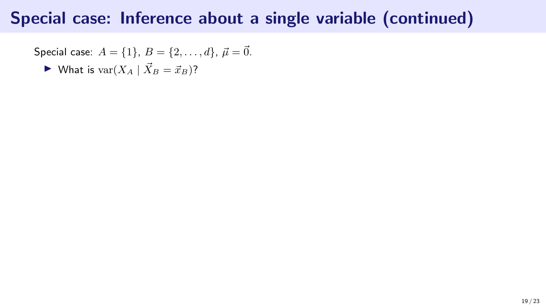Special case: 
$$
A = \{1\}, B = \{2, ..., d\}, \vec{\mu} = \vec{0}.
$$

 $\blacktriangleright$  What is var $(X_A | \vec{X}_B = \vec{x}_B)$ ?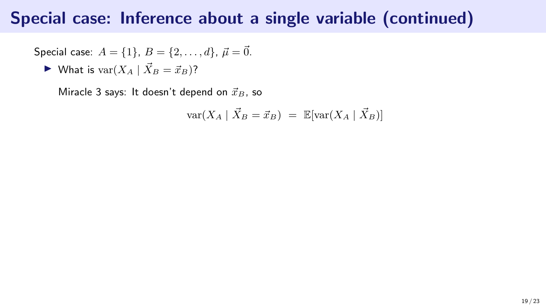Special case: 
$$
A = \{1\}
$$
,  $B = \{2, ..., d\}$ ,  $\vec{\mu} = \vec{0}$ .

$$
\blacktriangleright \text{ What is } \text{var}(X_A \mid \vec{X}_B = \vec{x}_B)?
$$

Miracle 3 says: It doesn't depend on  $\vec{x}_B$ , so

$$
\text{var}(X_A \mid \vec{X}_B = \vec{x}_B) = \mathbb{E}[\text{var}(X_A \mid \vec{X}_B)]
$$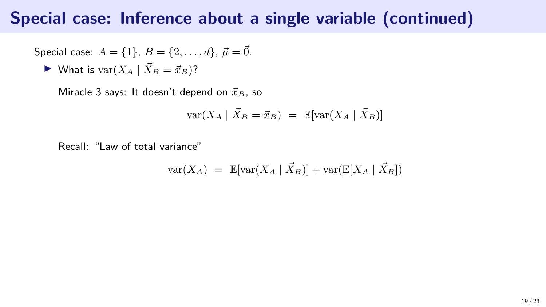Special case: 
$$
A = \{1\}, B = \{2, ..., d\}, \vec{\mu} = \vec{0}.
$$

 $\blacktriangleright$  What is var $(X_A \mid X_B = \vec{x}_B)$ ?

Miracle 3 says: It doesn't depend on  $\vec{x}_B$ , so

$$
\text{var}(X_A \mid \vec{X}_B = \vec{x}_B) = \mathbb{E}[\text{var}(X_A \mid \vec{X}_B)]
$$

Recall: "Law of total variance"

$$
\text{var}(X_A) = \mathbb{E}[\text{var}(X_A \mid \vec{X}_B)] + \text{var}(\mathbb{E}[X_A \mid \vec{X}_B])
$$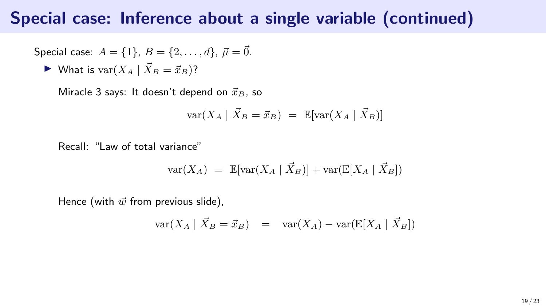Special case: 
$$
A = \{1\}, B = \{2, ..., d\}, \vec{\mu} = \vec{0}.
$$

$$
\blacktriangleright \text{ What is } \text{var}(X_A \mid \vec{X}_B = \vec{x}_B)?
$$

Miracle 3 says: It doesn't depend on  $\vec{x}_B$ , so

$$
\text{var}(X_A \mid \vec{X}_B = \vec{x}_B) = \mathbb{E}[\text{var}(X_A \mid \vec{X}_B)]
$$

Recall: "Law of total variance"

$$
\text{var}(X_A) = \mathbb{E}[\text{var}(X_A \mid \vec{X}_B)] + \text{var}(\mathbb{E}[X_A \mid \vec{X}_B])
$$

$$
\text{var}(X_A \mid \vec{X}_B = \vec{x}_B) = \text{var}(X_A) - \text{var}(\mathbb{E}[X_A \mid \vec{X}_B])
$$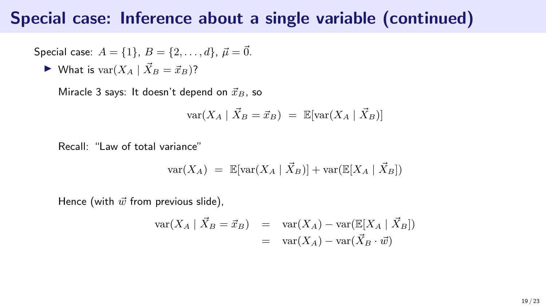Special case: 
$$
A = \{1\}, B = \{2, ..., d\}, \vec{\mu} = \vec{0}.
$$

$$
\blacktriangleright \text{ What is } \text{var}(X_A \mid \vec{X}_B = \vec{x}_B)?
$$

Miracle 3 says: It doesn't depend on  $\vec{x}_B$ , so

$$
\text{var}(X_A \mid \vec{X}_B = \vec{x}_B) = \mathbb{E}[\text{var}(X_A \mid \vec{X}_B)]
$$

Recall: "Law of total variance"

$$
\text{var}(X_A) = \mathbb{E}[\text{var}(X_A \mid \vec{X}_B)] + \text{var}(\mathbb{E}[X_A \mid \vec{X}_B])
$$

$$
\begin{array}{rcl}\n\text{var}(X_A \mid \vec{X}_B = \vec{x}_B) & = & \text{var}(X_A) - \text{var}(\mathbb{E}[X_A \mid \vec{X}_B]) \\
& = & \text{var}(X_A) - \text{var}(\vec{X}_B \cdot \vec{w})\n\end{array}
$$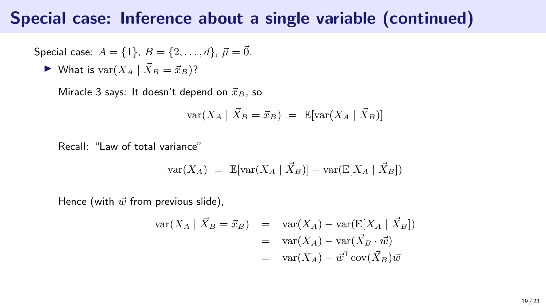Special case: 
$$
A = \{1\}, B = \{2, ..., d\}, \vec{\mu} = \vec{0}.
$$

$$
\blacktriangleright \text{ What is } \text{var}(X_A \mid \vec{X}_B = \vec{x}_B)?
$$

Miracle 3 says: It doesn't depend on  $\vec{x}_B$ , so

$$
\text{var}(X_A \mid \vec{X}_B = \vec{x}_B) = \mathbb{E}[\text{var}(X_A \mid \vec{X}_B)]
$$

Recall: "Law of total variance"

$$
\text{var}(X_A) = \mathbb{E}[\text{var}(X_A \mid \vec{X}_B)] + \text{var}(\mathbb{E}[X_A \mid \vec{X}_B])
$$

$$
\begin{array}{rcl}\n\text{var}(X_A \mid \vec{X}_B = \vec{x}_B) & = & \text{var}(X_A) - \text{var}(\mathbb{E}[X_A \mid \vec{X}_B]) \\
& = & \text{var}(X_A) - \text{var}(\vec{X}_B \cdot \vec{w}) \\
& = & \text{var}(X_A) - \vec{w}^\mathsf{T} \text{cov}(\vec{X}_B) \vec{w}\n\end{array}
$$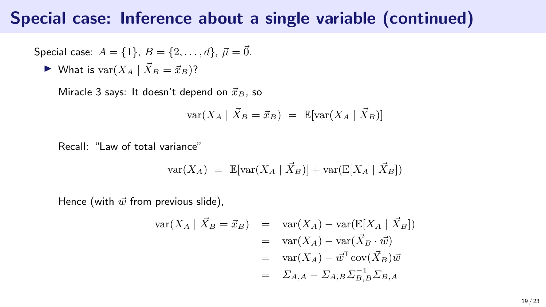Special case: 
$$
A = \{1\}, B = \{2, ..., d\}, \vec{\mu} = \vec{0}.
$$

$$
\blacktriangleright \text{ What is } \text{var}(X_A \mid \vec{X}_B = \vec{x}_B)?
$$

Miracle 3 says: It doesn't depend on  $\vec{x}_B$ , so

$$
\text{var}(X_A \mid \vec{X}_B = \vec{x}_B) = \mathbb{E}[\text{var}(X_A \mid \vec{X}_B)]
$$

Recall: "Law of total variance"

$$
var(X_A) = \mathbb{E}[var(X_A | \vec{X}_B)] + var(\mathbb{E}[X_A | \vec{X}_B])
$$

$$
\begin{array}{rcl}\n\text{var}(X_A \mid \vec{X}_B = \vec{x}_B) & = & \text{var}(X_A) - \text{var}(\mathbb{E}[X_A \mid \vec{X}_B]) \\
& = & \text{var}(X_A) - \text{var}(\vec{X}_B \cdot \vec{w}) \\
& = & \text{var}(X_A) - \vec{w}^T \text{cov}(\vec{X}_B) \vec{w} \\
& = & \sum_{A, A} - \sum_{A, B} \sum_{B, B}^{-1} \sum_{B, A}\n\end{array}
$$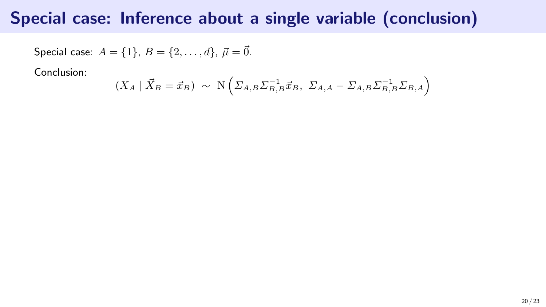Special case: 
$$
A = \{1\}, B = \{2, ..., d\}, \vec{\mu} = \vec{0}.
$$

Conclusion:

$$
(X_A | \vec{X}_B = \vec{x}_B) \sim \mathcal{N}\left(\Sigma_{A,B}\Sigma_{B,B}^{-1}\vec{x}_B, \ \Sigma_{A,A} - \Sigma_{A,B}\Sigma_{B,B}^{-1}\Sigma_{B,A}\right)
$$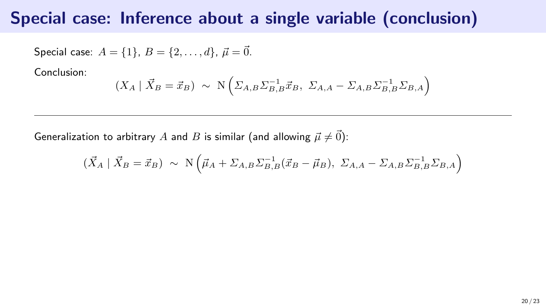Special case: 
$$
A = \{1\}, B = \{2, ..., d\}, \vec{\mu} = \vec{0}.
$$

Conclusion:

$$
(X_A | \overrightarrow{X}_B = \overrightarrow{x}_B) \sim \mathcal{N} \left( \Sigma_{A,B} \Sigma_{B,B}^{-1} \overrightarrow{x}_B, \ \Sigma_{A,A} - \Sigma_{A,B} \Sigma_{B,B}^{-1} \Sigma_{B,A} \right)
$$

Generalization to arbitrary A and B is similar (and allowing  $\vec{\mu} \neq \vec{0}$ ):

$$
(\vec{X}_A \mid \vec{X}_B = \vec{x}_B) \sim \mathcal{N}\left(\vec{\mu}_A + \Sigma_{A,B}\Sigma_{B,B}^{-1}(\vec{x}_B - \vec{\mu}_B), \ \Sigma_{A,A} - \Sigma_{A,B}\Sigma_{B,B}^{-1}\Sigma_{B,A}\right)
$$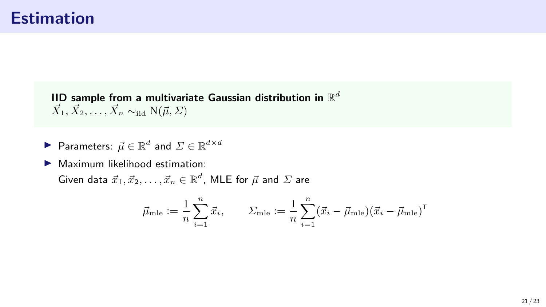IID sample from a multivariate Gaussian distribution in  $\mathbb{R}^d$  $\vec{X}_1, \vec{X}_2, \ldots, \vec{X}_n \sim_{\text{iid}} N(\vec{\mu}, \Sigma)$ 

▶ Parameters:  $\vec{\mu} \in \mathbb{R}^d$  and  $\Sigma \in \mathbb{R}^{d \times d}$ 

 $\blacktriangleright$  Maximum likelihood estimation:

Given data  $\vec{x}_1, \vec{x}_2, \ldots, \vec{x}_n \in \mathbb{R}^d$ , MLE for  $\vec{\mu}$  and  $\Sigma$  are

$$
\vec{\mu}_{\text{mle}} := \frac{1}{n} \sum_{i=1}^{n} \vec{x}_i, \qquad \Sigma_{\text{mle}} := \frac{1}{n} \sum_{i=1}^{n} (\vec{x}_i - \vec{\mu}_{\text{mle}}) (\vec{x}_i - \vec{\mu}_{\text{mle}})^{\mathsf{T}}
$$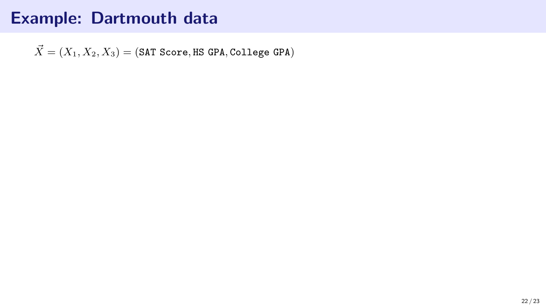$\vec{X} = (X_1, X_2, X_3) = (SAT Score, HS GPA, College GPA)$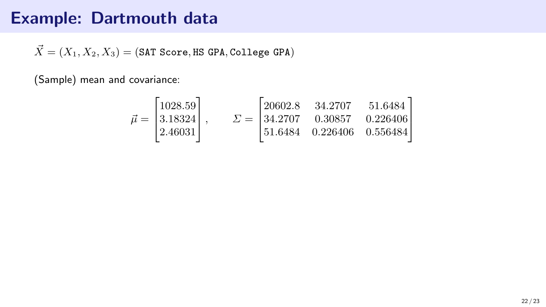$\vec{X} = (X_1, X_2, X_3) = (SAT Score, HS GPA, College GPA)$ 

(Sample) mean and covariance:

$$
\vec{\mu} = \begin{bmatrix} 1028.59 \\ 3.18324 \\ 2.46031 \end{bmatrix}, \qquad \Sigma = \begin{bmatrix} 20602.8 & 34.2707 & 51.6484 \\ 34.2707 & 0.30857 & 0.226406 \\ 51.6484 & 0.226406 & 0.556484 \end{bmatrix}
$$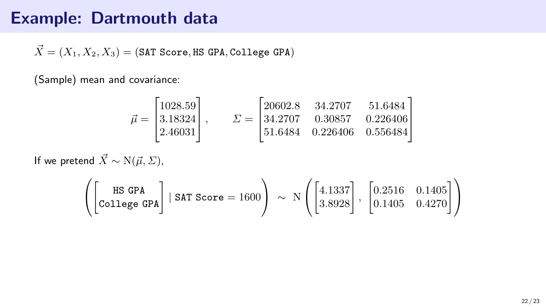$\vec{X} = (X_1, X_2, X_3) = (SAT Score, HS GPA, College GPA)$ 

(Sample) mean and covariance:

$$
\vec{\mu} = \begin{bmatrix} 1028.59 \\ 3.18324 \\ 2.46031 \end{bmatrix}, \qquad \Sigma = \begin{bmatrix} 20602.8 & 34.2707 & 51.6484 \\ 34.2707 & 0.30857 & 0.226406 \\ 51.6484 & 0.226406 & 0.556484 \end{bmatrix}
$$

If we pretend  $\vec{X} \sim N(\vec{\mu}, \Sigma)$ ,

$$
\left(\begin{bmatrix}\texttt{HS GPA} \\ \texttt{College GPA}\end{bmatrix} \mid \texttt{SAT Score} = 1600\right) \sim \texttt{N}\left(\begin{bmatrix}4.1337\\3.8928\end{bmatrix}, \begin{bmatrix}0.2516 & 0.1405\\0.1405 & 0.4270\end{bmatrix}\right)
$$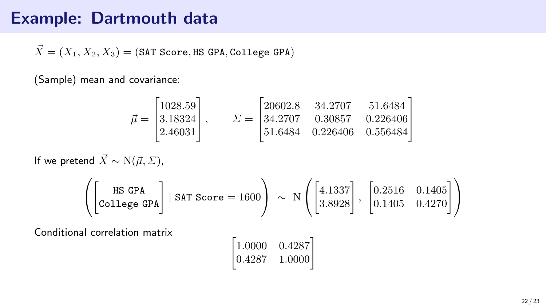$\vec{X} = (X_1, X_2, X_3) = (SAT Score, HS GPA, College GPA)$ 

(Sample) mean and covariance:

$$
\vec{\mu} = \begin{bmatrix} 1028.59 \\ 3.18324 \\ 2.46031 \end{bmatrix}, \qquad \Sigma = \begin{bmatrix} 20602.8 & 34.2707 & 51.6484 \\ 34.2707 & 0.30857 & 0.226406 \\ 51.6484 & 0.226406 & 0.556484 \end{bmatrix}
$$

If we pretend  $\vec{X} \sim N(\vec{\mu}, \Sigma)$ ,

$$
\left(\begin{bmatrix}\texttt{HS GPA} \\ \texttt{College GPA}\end{bmatrix} \mid \texttt{SAT Score} = 1600\right) \sim \texttt{N}\left(\begin{bmatrix}4.1337\\3.8928\end{bmatrix}, \begin{bmatrix}0.2516 & 0.1405\\0.1405 & 0.4270\end{bmatrix}\right)
$$

Conditional correlation matrix

$$
\begin{bmatrix} 1.0000 & 0.4287 \\ 0.4287 & 1.0000 \end{bmatrix}
$$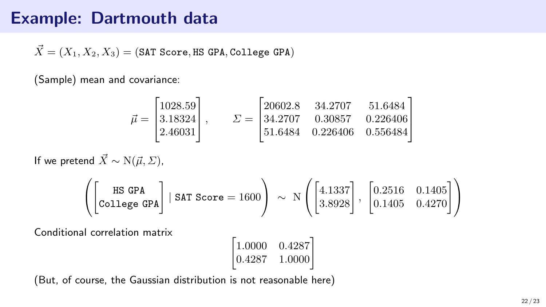$\vec{X} = (X_1, X_2, X_3) = (SAT Score, HS GPA, College GPA)$ 

(Sample) mean and covariance:

$$
\vec{\mu} = \begin{bmatrix} 1028.59 \\ 3.18324 \\ 2.46031 \end{bmatrix}, \qquad \Sigma = \begin{bmatrix} 20602.8 & 34.2707 & 51.6484 \\ 34.2707 & 0.30857 & 0.226406 \\ 51.6484 & 0.226406 & 0.556484 \end{bmatrix}
$$

If we pretend  $\vec{X} \sim N(\vec{\mu}, \Sigma)$ ,

$$
\left(\begin{bmatrix}\texttt{HS GPA} \\ \texttt{College GPA}\end{bmatrix} \mid \texttt{SAT Score} = 1600\right) \sim \texttt{N}\left(\begin{bmatrix}4.1337\\3.8928\end{bmatrix}, \begin{bmatrix}0.2516 & 0.1405\\0.1405 & 0.4270\end{bmatrix}\right)
$$

Conditional correlation matrix

$$
\begin{bmatrix} 1.0000 & 0.4287 \\ 0.4287 & 1.0000 \end{bmatrix}
$$

(But, of course, the Gaussian distribution is not reasonable here)